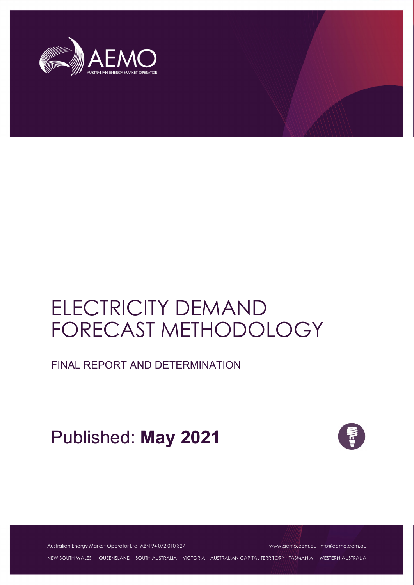

# ELECTRICITY DEMAND FORECAST METHODOLOGY

FINAL REPORT AND DETERMINATION

Published: **May 2021**



Australian Energy Market Operator Ltd ABN 94 072 010 327 www.aemo.com.au info@aemo.com.au

NEW SOUTH WALES QUEENSLAND SOUTH AUSTRALIA VICTORIA AUSTRALIAN CAPITAL TERRITORY TASMANIA WESTERN AUSTRALIA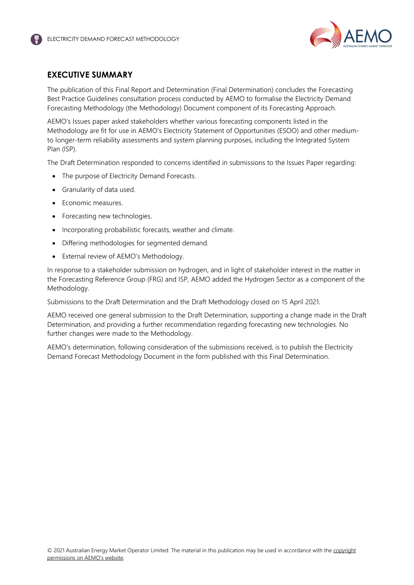

# <span id="page-1-0"></span>**EXECUTIVE SUMMARY**

The publication of this Final Report and Determination (Final Determination) concludes the Forecasting Best Practice Guidelines consultation process conducted by AEMO to formalise the Electricity Demand Forecasting Methodology (the Methodology) Document component of its Forecasting Approach.

AEMO's Issues paper asked stakeholders whether various forecasting components listed in the Methodology are fit for use in AEMO's Electricity Statement of Opportunities (ESOO) and other mediumto longer-term reliability assessments and system planning purposes, including the Integrated System Plan (ISP).

The Draft Determination responded to concerns identified in submissions to the Issues Paper regarding:

- The purpose of Electricity Demand Forecasts.
- Granularity of data used.
- Economic measures.
- Forecasting new technologies.
- Incorporating probabilistic forecasts, weather and climate.
- Differing methodologies for segmented demand.
- External review of AEMO's Methodology.

In response to a stakeholder submission on hydrogen, and in light of stakeholder interest in the matter in the Forecasting Reference Group (FRG) and ISP, AEMO added the Hydrogen Sector as a component of the Methodology.

Submissions to the Draft Determination and the Draft Methodology closed on 15 April 2021.

AEMO received one general submission to the Draft Determination, supporting a change made in the Draft Determination, and providing a further recommendation regarding forecasting new technologies. No further changes were made to the Methodology.

AEMO's determination, following consideration of the submissions received, is to publish the Electricity Demand Forecast Methodology Document in the form published with this Final Determination.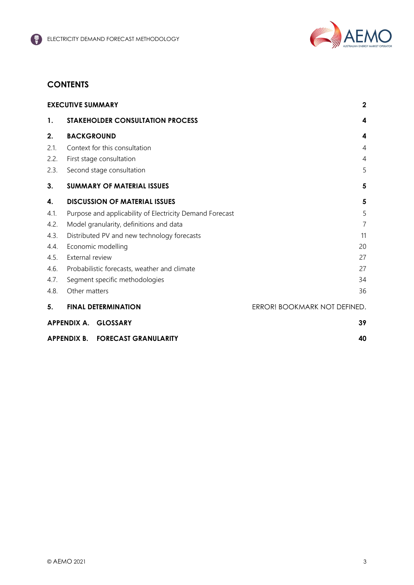

# **CONTENTS**

| <b>EXECUTIVE SUMMARY</b> |                                                          | $\mathbf{2}$                 |
|--------------------------|----------------------------------------------------------|------------------------------|
| 1.                       | <b>STAKEHOLDER CONSULTATION PROCESS</b>                  | 4                            |
| 2.                       | <b>BACKGROUND</b>                                        | 4                            |
| 2.1.                     | Context for this consultation                            | 4                            |
| 2.2.                     | First stage consultation                                 | $\overline{4}$               |
| 2.3.                     | Second stage consultation                                | 5                            |
| 3.                       | <b>SUMMARY OF MATERIAL ISSUES</b>                        | 5                            |
| 4.                       | <b>DISCUSSION OF MATERIAL ISSUES</b>                     | 5                            |
| 4.1.                     | Purpose and applicability of Electricity Demand Forecast | 5                            |
| 4.2.                     | Model granularity, definitions and data                  | $\overline{7}$               |
| 4.3.                     | Distributed PV and new technology forecasts              | 11                           |
| 4.4.                     | Economic modelling<br>20                                 |                              |
| 4.5.                     | External review<br>27                                    |                              |
| 4.6.                     | Probabilistic forecasts, weather and climate<br>27       |                              |
| 4.7.                     | Segment specific methodologies<br>34                     |                              |
| 4.8.                     | Other matters                                            | 36                           |
| 5.                       | <b>FINAL DETERMINATION</b>                               | ERROR! BOOKMARK NOT DEFINED. |
|                          | APPENDIX A. GLOSSARY                                     | 39                           |
|                          | APPENDIX B. FORECAST GRANULARITY                         | 40                           |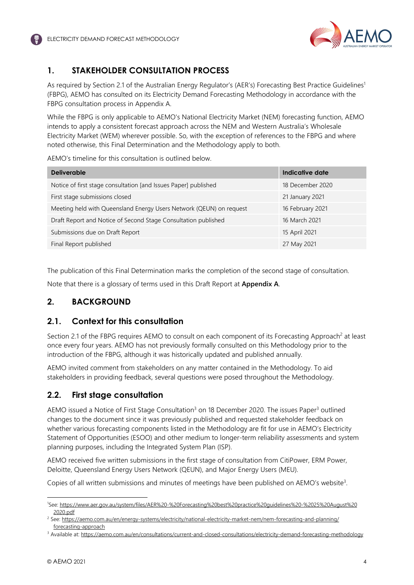

# <span id="page-3-0"></span>**1. STAKEHOLDER CONSULTATION PROCESS**

As required by Section 2.[1](#page-3-4) of the Australian Energy Regulator's (AER's) Forecasting Best Practice Guidelines<sup>1</sup> (FBPG), AEMO has consulted on its Electricity Demand Forecasting Methodology in accordance with the FBPG consultation process in Appendix A.

While the FBPG is only applicable to AEMO's National Electricity Market (NEM) forecasting function, AEMO intends to apply a consistent forecast approach across the NEM and Western Australia's Wholesale Electricity Market (WEM) wherever possible. So, with the exception of references to the FBPG and where noted otherwise, this Final Determination and the Methodology apply to both.

AEMO's timeline for this consultation is outlined below.

| <b>Deliverable</b>                                                  | Indicative date  |
|---------------------------------------------------------------------|------------------|
| Notice of first stage consultation [and Issues Paper] published     | 18 December 2020 |
| First stage submissions closed                                      | 21 January 2021  |
| Meeting held with Queensland Energy Users Network (QEUN) on request | 16 February 2021 |
| Draft Report and Notice of Second Stage Consultation published      | 16 March 2021    |
| Submissions due on Draft Report                                     | 15 April 2021    |
| Final Report published                                              | 27 May 2021      |

The publication of this Final Determination marks the completion of the second stage of consultation.

Note that there is a glossary of terms used in this Draft Report at **Appendix A**.

# <span id="page-3-1"></span>**2. BACKGROUND**

# <span id="page-3-2"></span>**2.1. Context for this consultation**

Section [2](#page-3-5).1 of the FBPG requires AEMO to consult on each component of its Forecasting Approach<sup>2</sup> at least once every four years. AEMO has not previously formally consulted on this Methodology prior to the introduction of the FBPG, although it was historically updated and published annually.

AEMO invited comment from stakeholders on any matter contained in the Methodology. To aid stakeholders in providing feedback, several questions were posed throughout the Methodology.

# <span id="page-3-3"></span>**2.2. First stage consultation**

AEMO issued a Notice of First Stage Consultation<sup>3</sup> on 18 December 2020. The issues Paper<sup>3</sup> outlined changes to the document since it was previously published and requested stakeholder feedback on whether various forecasting components listed in the Methodology are fit for use in AEMO's Electricity Statement of Opportunities (ESOO) and other medium to longer-term reliability assessments and system planning purposes, including the Integrated System Plan (ISP).

AEMO received five written submissions in the first stage of consultation from CitiPower, ERM Power, Deloitte, Queensland Energy Users Network (QEUN), and Major Energy Users (MEU).

Copies of all written submissions and minutes of meetings have been published on AEMO's website<sup>[3](#page-3-6)</sup>.

<span id="page-3-4"></span><sup>1</sup>See: https://www.aer.gov.au/system/files/AER%20-%20Forecasting%20best%20practice%20guidelines%20-%2025%20August%20 2020.pdf

<span id="page-3-5"></span><sup>&</sup>lt;sup>2</sup> See: https://aemo.com.au/en/energy-systems/electricity/national-electricity-market-nem/nem-forecasting-and-planning/ forecasting-approach

<span id="page-3-6"></span><sup>&</sup>lt;sup>3</sup> Available at: https://aemo.com.au/en/consultations/current-and-closed-consultations/electricity-demand-forecasting-methodology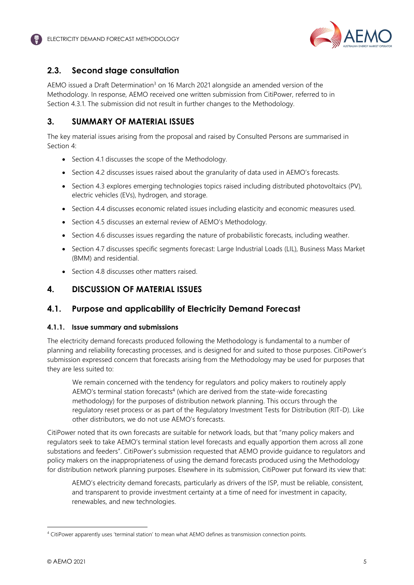

# <span id="page-4-0"></span>**2.3. Second stage consultation**

AEMO issued a Draft Determination<sup>3</sup> on 16 March 2021 alongside an amended version of the Methodology. In response, AEMO received one written submission from CitiPower, referred to in Section [4.3.1](#page-10-1). The submission did not result in further changes to the Methodology.

# <span id="page-4-1"></span>**3. SUMMARY OF MATERIAL ISSUES**

The key material issues arising from the proposal and raised by Consulted Persons are summarised in Section 4:

- Section 4.1 discusses the scope of the Methodology.
- Section 4.2 discusses issues raised about the granularity of data used in AEMO's forecasts.
- Section 4.3 explores emerging technologies topics raised including distributed photovoltaics (PV), electric vehicles (EVs), hydrogen, and storage.
- Section 4.4 discusses economic related issues including elasticity and economic measures used.
- Section 4.5 discusses an external review of AEMO's Methodology.
- Section 4.6 discusses issues regarding the nature of probabilistic forecasts, including weather.
- Section 4.7 discusses specific segments forecast: Large Industrial Loads (LIL), Business Mass Market (BMM) and residential.
- <span id="page-4-2"></span>**Section 4.8 discusses other matters raised.**

# **4. DISCUSSION OF MATERIAL ISSUES**

# <span id="page-4-3"></span>**4.1. Purpose and applicability of Electricity Demand Forecast**

### **4.1.1. Issue summary and submissions**

The electricity demand forecasts produced following the Methodology is fundamental to a number of planning and reliability forecasting processes, and is designed for and suited to those purposes. CitiPower's submission expressed concern that forecasts arising from the Methodology may be used for purposes that they are less suited to:

We remain concerned with the tendency for regulators and policy makers to routinely apply AEMO's terminal station [forecasts](#page-4-4)<sup>4</sup> (which are derived from the state-wide forecasting methodology) for the purposes of distribution network planning. This occurs through the regulatory reset process or as part of the Regulatory Investment Tests for Distribution (RIT-D). Like other distributors, we do not use AEMO's forecasts.

CitiPower noted that its own forecasts are suitable for network loads, but that "many policy makers and regulators seek to take AEMO's terminal station level forecasts and equally apportion them across all zone substations and feeders". CitiPower's submission requested that AEMO provide guidance to regulators and policy makers on the inappropriateness of using the demand forecasts produced using the Methodology for distribution network planning purposes. Elsewhere in its submission, CitiPower put forward its view that:

AEMO's electricity demand forecasts, particularly as drivers of the ISP, must be reliable, consistent, and transparent to provide investment certainty at a time of need for investment in capacity, renewables, and new technologies.

<span id="page-4-4"></span><sup>4</sup> CitiPower apparently uses 'terminal station' to mean what AEMO defines as transmission connection points.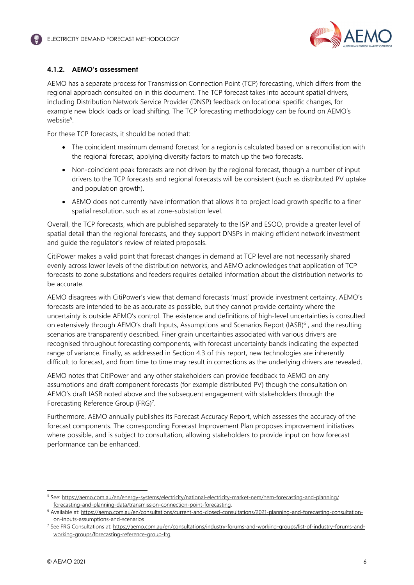

# **4.1.2. AEMO's assessment**

AEMO has a separate process for Transmission Connection Point (TCP) forecasting, which differs from the regional approach consulted on in this document. The TCP forecast takes into account spatial drivers, including Distribution Network Service Provider (DNSP) feedback on locational specific changes, for example new block loads or load shifting. The TCP forecasting methodology can be found on AEMO's website<sup>[5](#page-5-0)</sup>.

For these TCP forecasts, it should be noted that:

- The coincident maximum demand forecast for a region is calculated based on a reconciliation with the regional forecast, applying diversity factors to match up the two forecasts.
- Non-coincident peak forecasts are not driven by the regional forecast, though a number of input drivers to the TCP forecasts and regional forecasts will be consistent (such as distributed PV uptake and population growth).
- AEMO does not currently have information that allows it to project load growth specific to a finer spatial resolution, such as at zone-substation level.

Overall, the TCP forecasts, which are published separately to the ISP and ESOO, provide a greater level of spatial detail than the regional forecasts, and they support DNSPs in making efficient network investment and guide the regulator's review of related proposals.

CitiPower makes a valid point that forecast changes in demand at TCP level are not necessarily shared evenly across lower levels of the distribution networks, and AEMO acknowledges that application of TCP forecasts to zone substations and feeders requires detailed information about the distribution networks to be accurate.

AEMO disagrees with CitiPower's view that demand forecasts 'must' provide investment certainty. AEMO's forecasts are intended to be as accurate as possible, but they cannot provide certainty where the uncertainty is outside AEMO's control. The existence and definitions of high-level uncertainties is consulted on extensively through AEMO's draft Inputs, Assumptions and Scenarios Report (IASR)<sup>[6](#page-5-1)</sup>, and the resulting scenarios are transparently described. Finer grain uncertainties associated with various drivers are recognised throughout forecasting components, with forecast uncertainty bands indicating the expected range of variance. Finally, as addressed in Section [4.3](#page-10-0) of this report, new technologies are inherently difficult to forecast, and from time to time may result in corrections as the underlying drivers are revealed.

AEMO notes that CitiPower and any other stakeholders can provide feedback to AEMO on any assumptions and draft component forecasts (for example distributed PV) though the consultation on AEMO's draft IASR noted above and the subsequent engagement with stakeholders through the Forecasting Reference Group (FRG)<sup>[7](#page-5-2)</sup>.

Furthermore, AEMO annually publishes its Forecast Accuracy Report, which assesses the accuracy of the forecast components. The corresponding Forecast Improvement Plan proposes improvement initiatives where possible, and is subject to consultation, allowing stakeholders to provide input on how forecast performance can be enhanced.

<span id="page-5-0"></span><sup>&</sup>lt;sup>5</sup> See: https://aemo.com.au/en/energy-systems/electricity/national-electricity-market-nem/nem-forecasting-and-planning/ forecasting-and-planning-data/transmission-connection-point-forecasting.

<span id="page-5-1"></span><sup>&</sup>lt;sup>6</sup> Available at: https://aemo.com.au/en/consultations/current-and-closed-consultations/2021-planning-and-forecasting-consultationon-inputs-assumptions-and-scenarios

<span id="page-5-2"></span><sup>7</sup> See FRG Consultations at: https://aemo.com.au/en/consultations/industry-forums-and-working-groups/list-of-industry-forums-andworking-groups/forecasting-reference-group-frg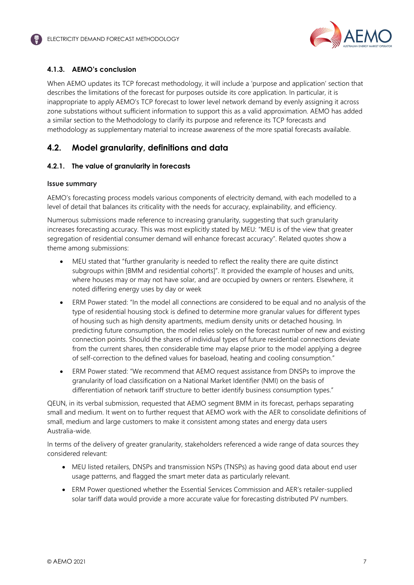

# **4.1.3. AEMO's conclusion**

When AEMO updates its TCP forecast methodology, it will include a 'purpose and application' section that describes the limitations of the forecast for purposes outside its core application. In particular, it is inappropriate to apply AEMO's TCP forecast to lower level network demand by evenly assigning it across zone substations without sufficient information to support this as a valid approximation. AEMO has added a similar section to the Methodology to clarify its purpose and reference its TCP forecasts and methodology as supplementary material to increase awareness of the more spatial forecasts available.

# <span id="page-6-0"></span>**4.2. Model granularity, definitions and data**

### **4.2.1. The value of granularity in forecasts**

### **Issue summary**

AEMO's forecasting process models various components of electricity demand, with each modelled to a level of detail that balances its criticality with the needs for accuracy, explainability, and efficiency.

Numerous submissions made reference to increasing granularity, suggesting that such granularity increases forecasting accuracy. This was most explicitly stated by MEU: "MEU is of the view that greater segregation of residential consumer demand will enhance forecast accuracy". Related quotes show a theme among submissions:

- MEU stated that "further granularity is needed to reflect the reality there are quite distinct subgroups within [BMM and residential cohorts]". It provided the example of houses and units, where houses may or may not have solar, and are occupied by owners or renters. Elsewhere, it noted differing energy uses by day or week
- ERM Power stated: "In the model all connections are considered to be equal and no analysis of the type of residential housing stock is defined to determine more granular values for different types of housing such as high density apartments, medium density units or detached housing. In predicting future consumption, the model relies solely on the forecast number of new and existing connection points. Should the shares of individual types of future residential connections deviate from the current shares, then considerable time may elapse prior to the model applying a degree of self-correction to the defined values for baseload, heating and cooling consumption."
- ERM Power stated: "We recommend that AEMO request assistance from DNSPs to improve the granularity of load classification on a National Market Identifier (NMI) on the basis of differentiation of network tariff structure to better identify business consumption types."

QEUN, in its verbal submission, requested that AEMO segment BMM in its forecast, perhaps separating small and medium. It went on to further request that AEMO work with the AER to consolidate definitions of small, medium and large customers to make it consistent among states and energy data users Australia-wide.

In terms of the delivery of greater granularity, stakeholders referenced a wide range of data sources they considered relevant:

- MEU listed retailers, DNSPs and transmission NSPs (TNSPs) as having good data about end user usage patterns, and flagged the smart meter data as particularly relevant.
- ERM Power questioned whether the Essential Services Commission and AER's retailer-supplied solar tariff data would provide a more accurate value for forecasting distributed PV numbers.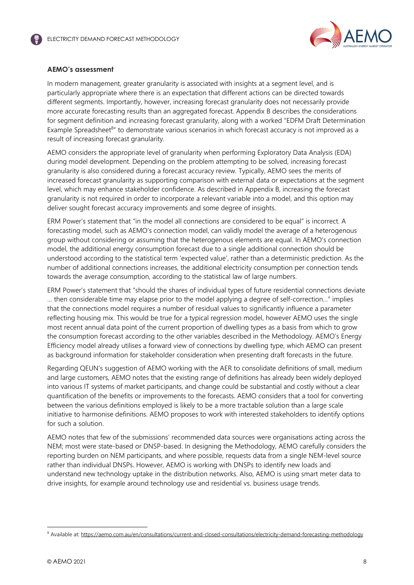

### **AEMO's assessment**

In modern management, greater granularity is associated with insights at a segment level, and is particularly appropriate where there is an expectation that different actions can be directed towards different segments. Importantly, however, increasing forecast granularity does not necessarily provide more accurate forecasting results than an aggregated forecast. Appendix B describes the considerations for segment definition and increasing forecast granularity, along with a worked "EDFM Draft Determination Example Spreadsheet<sup>[8](#page-7-0)</sup>" to demonstrate various scenarios in which forecast accuracy is not improved as a result of increasing forecast granularity.

AEMO considers the appropriate level of granularity when performing Exploratory Data Analysis (EDA) during model development. Depending on the problem attempting to be solved, increasing forecast granularity is also considered during a forecast accuracy review. Typically, AEMO sees the merits of increased forecast granularity as supporting comparison with external data or expectations at the segment level, which may enhance stakeholder confidence. As described in Appendix B, increasing the forecast granularity is not required in order to incorporate a relevant variable into a model, and this option may deliver sought forecast accuracy improvements and some degree of insights.

ERM Power's statement that "in the model all connections are considered to be equal" is incorrect. A forecasting model, such as AEMO's connection model, can validly model the average of a heterogenous group without considering or assuming that the heterogenous elements are equal. In AEMO's connection model, the additional energy consumption forecast due to a single additional connection should be understood according to the statistical term 'expected value', rather than a deterministic prediction. As the number of additional connections increases, the additional electricity consumption per connection tends towards the average consumption, according to the statistical law of large numbers.

ERM Power's statement that "should the shares of individual types of future residential connections deviate … then considerable time may elapse prior to the model applying a degree of self-correction…" implies that the connections model requires a number of residual values to significantly influence a parameter reflecting housing mix. This would be true for a typical regression model, however AEMO uses the single most recent annual data point of the current proportion of dwelling types as a basis from which to grow the consumption forecast according to the other variables described in the Methodology. AEMO's Energy Efficiency model already utilises a forward view of connections by dwelling type, which AEMO can present as background information for stakeholder consideration when presenting draft forecasts in the future.

Regarding QEUN's suggestion of AEMO working with the AER to consolidate definitions of small, medium and large customers, AEMO notes that the existing range of definitions has already been widely deployed into various IT systems of market participants, and change could be substantial and costly without a clear quantification of the benefits or improvements to the forecasts. AEMO considers that a tool for converting between the various definitions employed is likely to be a more tractable solution than a large scale initiative to harmonise definitions. AEMO proposes to work with interested stakeholders to identify options for such a solution.

AEMO notes that few of the submissions' recommended data sources were organisations acting across the NEM; most were state-based or DNSP-based. In designing the Methodology, AEMO carefully considers the reporting burden on NEM participants, and where possible, requests data from a single NEM-level source rather than individual DNSPs. However, AEMO is working with DNSPs to identify new loads and understand new technology uptake in the distribution networks. Also, AEMO is using smart meter data to drive insights, for example around technology use and residential vs. business usage trends.

<span id="page-7-0"></span><sup>&</sup>lt;sup>8</sup> Available at: https://aemo.com.au/en/consultations/current-and-closed-consultations/electricity-demand-forecasting-methodology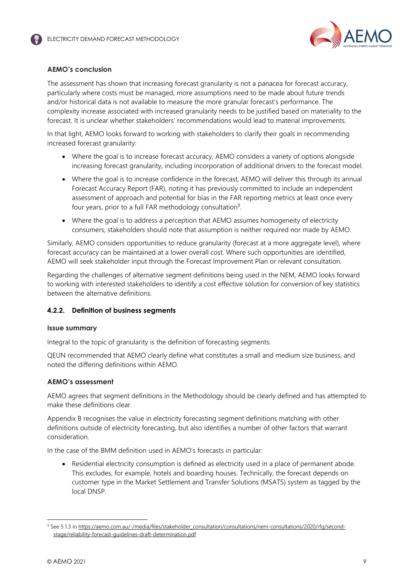

## **AEMO's conclusion**

The assessment has shown that increasing forecast granularity is not a panacea for forecast accuracy, particularly where costs must be managed, more assumptions need to be made about future trends and/or historical data is not available to measure the more granular forecast's performance. The complexity increase associated with increased granularity needs to be justified based on materiality to the forecast. It is unclear whether stakeholders' recommendations would lead to material improvements.

In that light, AEMO looks forward to working with stakeholders to clarify their goals in recommending increased forecast granularity:

- Where the goal is to increase forecast accuracy, AEMO considers a variety of options alongside increasing forecast granularity, including incorporation of additional drivers to the forecast model.
- Where the goal is to increase confidence in the forecast, AEMO will deliver this through its annual Forecast Accuracy Report (FAR), noting it has previously committed to include an independent assessment of approach and potential for bias in the FAR reporting metrics at least once every four years, prior to a full FAR methodology con[sultation](#page-8-0)<sup>9</sup>.
- Where the goal is to address a perception that AEMO assumes homogeneity of electricity consumers, stakeholders should note that assumption is neither required nor made by AEMO.

Similarly, AEMO considers opportunities to reduce granularity (forecast at a more aggregate level), where forecast accuracy can be maintained at a lower overall cost. Where such opportunities are identified, AEMO will seek stakeholder input through the Forecast Improvement Plan or relevant consultation.

Regarding the challenges of alternative segment definitions being used in the NEM, AEMO looks forward to working with interested stakeholders to identify a cost effective solution for conversion of key statistics between the alternative definitions.

### **4.2.2. Definition of business segments**

### **Issue summary**

Integral to the topic of granularity is the definition of forecasting segments.

QEUN recommended that AEMO clearly define what constitutes a small and medium size business, and noted the differing definitions within AEMO.

### **AEMO's assessment**

AEMO agrees that segment definitions in the Methodology should be clearly defined and has attempted to make these definitions clear.

Appendix B recognises the value in electricity forecasting segment definitions matching with other definitions outside of electricity forecasting, but also identifies a number of other factors that warrant consideration.

In the case of the BMM definition used in AEMO's forecasts in particular:

• Residential electricity consumption is defined as electricity used in a place of permanent abode. This excludes, for example, hotels and boarding houses. Technically, the forecast depends on customer type in the Market Settlement and Transfer Solutions (MSATS) system as tagged by the local DNSP.

<span id="page-8-0"></span><sup>&</sup>lt;sup>9</sup> See 5.1.3 in <u>https://aemo.com.au/-/media/files/stakeholder\_consultation/consultations/nem-consultations/2020/rfg/second-</u> stage/reliability-forecast-guidelines-draft-determination.pdf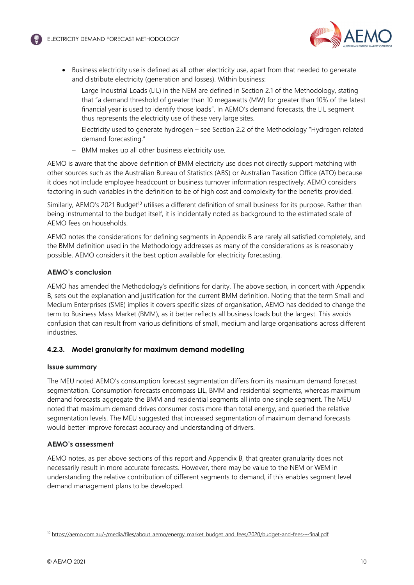

- Business electricity use is defined as all other electricity use, apart from that needed to generate and distribute electricity (generation and losses). Within business:
	- Large Industrial Loads (LIL) in the NEM are defined in Section 2.1 of the Methodology, stating that "a demand threshold of greater than 10 megawatts (MW) for greater than 10% of the latest financial year is used to identify those loads". In AEMO's demand forecasts, the LIL segment thus represents the electricity use of these very large sites.
	- [Electricity used to generate hydrogen see Section 2.2 of the Method](#page-15-0)ology "Hydrogen related demand forecasting."
	- BMM makes up all other business electricity use.

AEMO is aware that the above definition of BMM electricity use does not directly support matching with other sources such as the Australian Bureau of Statistics (ABS) or Australian Taxation Office (ATO) because it does not include employee headcount or business turnover information respectively. AEMO considers factoring in such variables in the definition to be of high cost and complexity for the benefits provided.

Similarly, AEMO's 2021 Budget<sup>[10](#page-9-0)</sup> utilises a different definition of small business for its purpose. Rather than being instrumental to the budget itself, it is incidentally noted as background to the estimated scale of AEMO fees on households.

AEMO notes the considerations for defining segments in Appendix B are rarely all satisfied completely, and the BMM definition used in the Methodology addresses as many of the considerations as is reasonably possible. AEMO considers it the best option available for electricity forecasting.

### **AEMO's conclusion**

AEMO has amended the Methodology's definitions for clarity. The above section, in concert with Appendix B, sets out the explanation and justification for the current BMM definition. Noting that the term Small and Medium Enterprises (SME) implies it covers specific sizes of organisation, AEMO has decided to change the term to Business Mass Market (BMM), as it better reflects all business loads but the largest. This avoids confusion that can result from various definitions of small, medium and large organisations across different industries.

### **4.2.3. Model granularity for maximum demand modelling**

### **Issue summary**

The MEU noted AEMO's consumption forecast segmentation differs from its maximum demand forecast segmentation. Consumption forecasts encompass LIL, BMM and residential segments, whereas maximum demand forecasts aggregate the BMM and residential segments all into one single segment. The MEU noted that maximum demand drives consumer costs more than total energy, and queried the relative segmentation levels. The MEU suggested that increased segmentation of maximum demand forecasts would better improve forecast accuracy and understanding of drivers.

### **AEMO's assessment**

AEMO notes, as per above sections of this report and Appendix B, that greater granularity does not necessarily result in more accurate forecasts. However, there may be value to the NEM or WEM in understanding the relative contribution of different segments to demand, if this enables segment level demand management plans to be developed.

<span id="page-9-0"></span><sup>10</sup> https://aemo.com.au/-/media/files/about\_aemo/energy\_market\_budget\_and\_fees/2020/budget-and-fees---final.pdf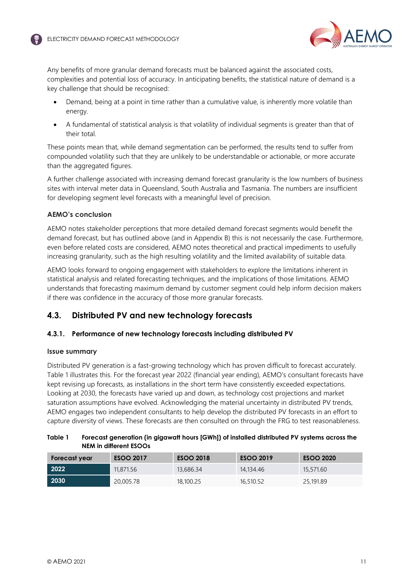

Any benefits of more granular demand forecasts must be balanced against the associated costs, complexities and potential loss of accuracy. In anticipating benefits, the statistical nature of demand is a key challenge that should be recognised:

- Demand, being at a point in time rather than a cumulative value, is inherently more volatile than energy.
- A fundamental of statistical analysis is that volatility of individual segments is greater than that of their total.

These points mean that, while demand segmentation can be performed, the results tend to suffer from compounded volatility such that they are unlikely to be understandable or actionable, or more accurate than the aggregated figures.

A further challenge associated with increasing demand forecast granularity is the low numbers of business sites with interval meter data in Queensland, South Australia and Tasmania. The numbers are insufficient for developing segment level forecasts with a meaningful level of precision.

### **AEMO's conclusion**

AEMO notes stakeholder perceptions that more detailed demand forecast segments would benefit the demand forecast, but has outlined above (and in Appendix B) this is not necessarily the case. Furthermore, even before related costs are considered, AEMO notes theoretical and practical impediments to usefully increasing granularity, such as the high resulting volatility and the limited availability of suitable data.

AEMO looks forward to ongoing engagement with stakeholders to explore the limitations inherent in statistical analysis and related forecasting techniques, and the implications of those limitations. AEMO understands that forecasting maximum demand by customer segment could help inform decision makers if there was confidence in the accuracy of those more granular forecasts.

# <span id="page-10-0"></span>**4.3. Distributed PV and new technology forecasts**

### <span id="page-10-1"></span>**4.3.1. Performance of new technology forecasts including distributed PV**

### **Issue summary**

Distributed PV generation is a fast-growing technology which has proven difficult to forecast accurately. Table 1 illustrates this. For the forecast year 2022 (financial year ending), AEMO's consultant forecasts have kept revising up forecasts, as installations in the short term have consistently exceeded expectations. Looking at 2030, the forecasts have varied up and down, as technology cost projections and market saturation assumptions have evolved. Acknowledging the material uncertainty in distributed PV trends, AEMO engages two independent consultants to help develop the distributed PV forecasts in an effort to capture diversity of views. These forecasts are then consulted on through the FRG to test reasonableness.

| Table 1 | Forecast generation (in gigawatt hours [GWh]) of installed distributed PV systems across the |
|---------|----------------------------------------------------------------------------------------------|
|         | NEM in different ESOOs                                                                       |

| Forecast year | <b>ESOO 2017</b> | <b>ESOO 2018</b> | <b>ESOO 2019</b> | <b>ESOO 2020</b> |
|---------------|------------------|------------------|------------------|------------------|
| 2022          | 11,871.56        | 13,686.34        | 14,134,46        | 15,571,60        |
| 2030          | 20,005.78        | 18,100.25        | 16,510.52        | 25,191.89        |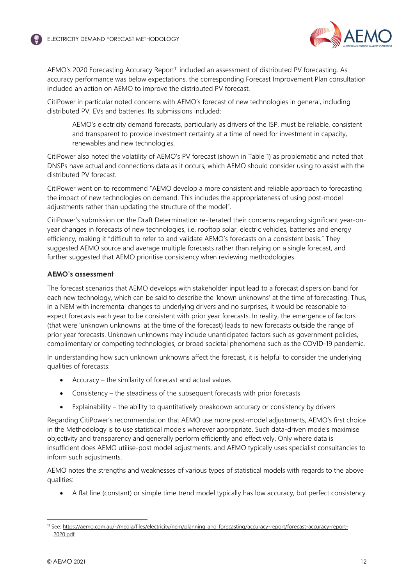

AEMO's 2020 Forecasting Accuracy Report<sup>[11](#page-11-0)</sup> included an assessment of distributed PV forecasting. As accuracy performance was below expectations, the corresponding Forecast Improvement Plan consultation included an action on AEMO to improve the distributed PV forecast.

CitiPower in particular noted concerns with AEMO's forecast of new technologies in general, including distributed PV, EVs and batteries. Its submissions included:

AEMO's electricity demand forecasts, particularly as drivers of the ISP, must be reliable, consistent and transparent to provide investment certainty at a time of need for investment in capacity, renewables and new technologies.

CitiPower also noted the volatility of AEMO's PV forecast (shown in Table 1) as problematic and noted that DNSPs have actual and connections data as it occurs, which AEMO should consider using to assist with the distributed PV forecast.

CitiPower went on to recommend "AEMO develop a more consistent and reliable approach to forecasting the impact of new technologies on demand. This includes the appropriateness of using post-model adjustments rather than updating the structure of the model".

CitiPower's submission on the Draft Determination re-iterated their concerns regarding significant year-onyear changes in forecasts of new technologies, i.e. rooftop solar, electric vehicles, batteries and energy efficiency, making it "difficult to refer to and validate AEMO's forecasts on a consistent basis." They suggested AEMO source and average multiple forecasts rather than relying on a single forecast, and further suggested that AEMO prioritise consistency when reviewing methodologies.

### **AEMO's assessment**

The forecast scenarios that AEMO develops with stakeholder input lead to a forecast dispersion band for each new technology, which can be said to describe the 'known unknowns' at the time of forecasting. Thus, in a NEM with incremental changes to underlying drivers and no surprises, it would be reasonable to expect forecasts each year to be consistent with prior year forecasts. In reality, the emergence of factors (that were 'unknown unknowns' at the time of the forecast) leads to new forecasts outside the range of prior year forecasts. Unknown unknowns may include unanticipated factors such as government policies, complimentary or competing technologies, or broad societal phenomena such as the COVID-19 pandemic.

In understanding how such unknown unknowns affect the forecast, it is helpful to consider the underlying qualities of forecasts:

- Accuracy the similarity of forecast and actual values
- Consistency the steadiness of the subsequent forecasts with prior forecasts
- Explainability the ability to quantitatively breakdown accuracy or consistency by drivers

Regarding CitiPower's recommendation that AEMO use more post-model adjustments, AEMO's first choice in the Methodology is to use statistical models wherever appropriate. Such data-driven models maximise objectivity and transparency and generally perform efficiently and effectively. Only where data is insufficient does AEMO utilise-post model adjustments, and AEMO typically uses specialist consultancies to inform such adjustments.

AEMO notes the strengths and weaknesses of various types of statistical models with regards to the above qualities:

A flat line (constant) or simple time trend model typically has low accuracy, but perfect consistency

<span id="page-11-0"></span><sup>11</sup> See: https://aemo.com.au/-/media/files/electricity/nem/planning\_and\_forecasting/accuracy-report/forecast-accuracy-report-2020.pdf.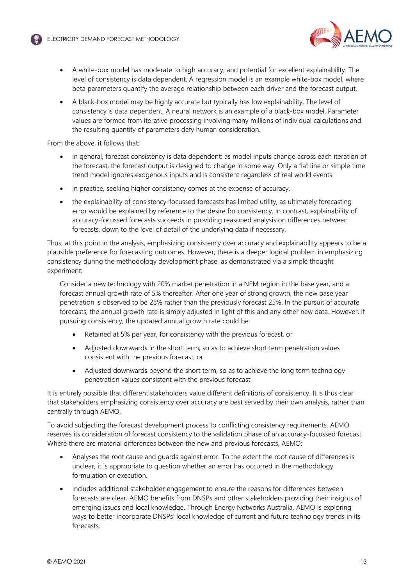

- A white-box model has moderate to high accuracy, and potential for excellent explainability. The level of consistency is data dependent. A regression model is an example white-box model, where beta parameters quantify the average relationship between each driver and the forecast output.
- A black-box model may be highly accurate but typically has low explainability. The level of consistency is data dependent. A neural network is an example of a black-box model. Parameter values are formed from iterative processing involving many millions of individual calculations and the resulting quantity of parameters defy human consideration.

From the above, it follows that:

- in general, forecast consistency is data dependent: as model inputs change across each iteration of the forecast, the forecast output is designed to change in some way. Only a flat line or simple time trend model ignores exogenous inputs and is consistent regardless of real world events.
- in practice, seeking higher consistency comes at the expense of accuracy.
- the explainability of consistency-focussed forecasts has limited utility, as ultimately forecasting error would be explained by reference to the desire for consistency. In contrast, explainability of accuracy-focussed forecasts succeeds in providing reasoned analysis on differences between forecasts, down to the level of detail of the underlying data if necessary.

Thus, at this point in the analysis, emphasizing consistency over accuracy and explainability appears to be a plausible preference for forecasting outcomes. However, there is a deeper logical problem in emphasizing consistency during the methodology development phase, as demonstrated via a simple thought experiment:

Consider a new technology with 20% market penetration in a NEM region in the base year, and a forecast annual growth rate of 5% thereafter. After one year of strong growth, the new base year penetration is observed to be 28% rather than the previously forecast 25%. In the pursuit of accurate forecasts, the annual growth rate is simply adjusted in light of this and any other new data. However, if pursuing consistency, the updated annual growth rate could be:

- Retained at 5% per year, for consistency with the previous forecast, or
- Adjusted downwards in the short term, so as to achieve short term penetration values consistent with the previous forecast, or
- Adjusted downwards beyond the short term, so as to achieve the long term technology penetration values consistent with the previous forecast

It is entirely possible that different stakeholders value different definitions of consistency. It is thus clear that stakeholders emphasizing consistency over accuracy are best served by their own analysis, rather than centrally through AEMO.

To avoid subjecting the forecast development process to conflicting consistency requirements, AEMO reserves its consideration of forecast consistency to the validation phase of an accuracy-focussed forecast. Where there are material differences between the new and previous forecasts, AEMO:

- Analyses the root cause and guards against error. To the extent the root cause of differences is unclear, it is appropriate to question whether an error has occurred in the methodology formulation or execution.
- Includes additional stakeholder engagement to ensure the reasons for differences between forecasts are clear. AEMO benefits from DNSPs and other stakeholders providing their insights of emerging issues and local knowledge. Through Energy Networks Australia, AEMO is exploring ways to better incorporate DNSPs' local knowledge of current and future technology trends in its forecasts.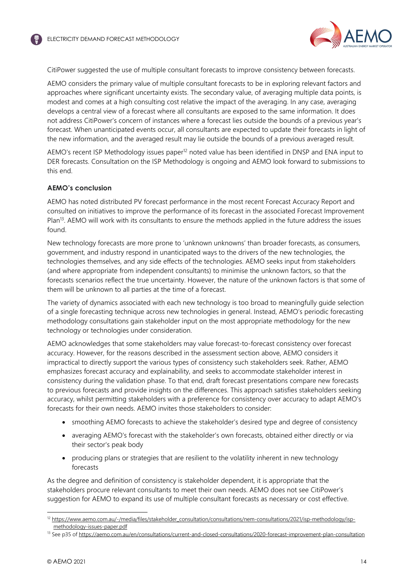

CitiPower suggested the use of multiple consultant forecasts to improve consistency between forecasts.

AEMO considers the primary value of multiple consultant forecasts to be in exploring relevant factors and approaches where significant uncertainty exists. The secondary value, of averaging multiple data points, is modest and comes at a high consulting cost relative the impact of the averaging. In any case, averaging develops a central view of a forecast where all consultants are exposed to the same information. It does not address CitiPower's concern of instances where a forecast lies outside the bounds of a previous year's forecast. When unanticipated events occur, all consultants are expected to update their forecasts in light of the new information, and the averaged result may lie outside the bounds of a previous averaged result.

AEMO's recent ISP Methodology issues paper<sup>[12](#page-13-0)</sup> noted value has been identified in DNSP and ENA input to DER forecasts. Consultation on the ISP Methodology is ongoing and AEMO look forward to submissions to this end.

### **AEMO's conclusion**

AEMO has noted distributed PV forecast performance in the most recent Forecast Accuracy Report and consulted on initiatives to improve the performance of its forecast in the associated Forecast Improvement Plan<sup>[13](#page-13-1)</sup>. AEMO will work with its consultants to ensure the methods applied in the future address the issues found.

New technology forecasts are more prone to 'unknown unknowns' than broader forecasts, as consumers, government, and industry respond in unanticipated ways to the drivers of the new technologies, the technologies themselves, and any side effects of the technologies. AEMO seeks input from stakeholders (and where appropriate from independent consultants) to minimise the unknown factors, so that the forecasts scenarios reflect the true uncertainty. However, the nature of the unknown factors is that some of them will be unknown to all parties at the time of a forecast.

The variety of dynamics associated with each new technology is too broad to meaningfully guide selection of a single forecasting technique across new technologies in general. Instead, AEMO's periodic forecasting methodology consultations gain stakeholder input on the most appropriate methodology for the new technology or technologies under consideration.

AEMO acknowledges that some stakeholders may value forecast-to-forecast consistency over forecast accuracy. However, for the reasons described in the assessment section above, AEMO considers it impractical to directly support the various types of consistency such stakeholders seek. Rather, AEMO emphasizes forecast accuracy and explainability, and seeks to accommodate stakeholder interest in consistency during the validation phase. To that end, draft forecast presentations compare new forecasts to previous forecasts and provide insights on the differences. This approach satisfies stakeholders seeking accuracy, whilst permitting stakeholders with a preference for consistency over accuracy to adapt AEMO's forecasts for their own needs. AEMO invites those stakeholders to consider:

- smoothing AEMO forecasts to achieve the stakeholder's desired type and degree of consistency
- averaging AEMO's forecast with the stakeholder's own forecasts, obtained either directly or via their sector's peak body
- producing plans or strategies that are resilient to the volatility inherent in new technology forecasts

As the degree and definition of consistency is stakeholder dependent, it is appropriate that the stakeholders procure relevant consultants to meet their own needs. AEMO does not see CitiPower's suggestion for AEMO to expand its use of multiple consultant forecasts as necessary or cost effective.

<span id="page-13-0"></span><sup>&</sup>lt;sup>12</sup> https://www.aemo.com.au/-/media/files/stakeholder\_consultation/consultations/nem-consultations/2021/isp-methodology/ispmethodology-issues-paper.pdf

<span id="page-13-1"></span><sup>&</sup>lt;sup>13</sup> See p35 of https://aemo.com.au/en/consultations/current-and-closed-consultations/2020-forecast-improvement-plan-consultation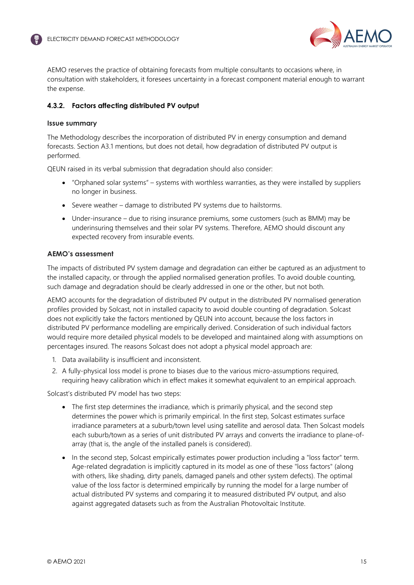

AEMO reserves the practice of obtaining forecasts from multiple consultants to occasions where, in consultation with stakeholders, it foresees uncertainty in a forecast component material enough to warrant the expense.

# **4.3.2. Factors affecting distributed PV output**

### **Issue summary**

The Methodology describes the incorporation of distributed PV in energy consumption and demand forecasts. Section A3.1 mentions, but does not detail, how degradation of distributed PV output is performed.

QEUN raised in its verbal submission that degradation should also consider:

- "Orphaned solar systems" systems with worthless warranties, as they were installed by suppliers no longer in business.
- Severe weather damage to distributed PV systems due to hailstorms.
- Under-insurance due to rising insurance premiums, some customers (such as BMM) may be underinsuring themselves and their solar PV systems. Therefore, AEMO should discount any expected recovery from insurable events.

### **AEMO's assessment**

The impacts of distributed PV system damage and degradation can either be captured as an adjustment to the installed capacity, or through the applied normalised generation profiles. To avoid double counting, such damage and degradation should be clearly addressed in one or the other, but not both.

AEMO accounts for the degradation of distributed PV output in the distributed PV normalised generation profiles provided by Solcast, not in installed capacity to avoid double counting of degradation. Solcast does not explicitly take the factors mentioned by QEUN into account, because the loss factors in distributed PV performance modelling are empirically derived. Consideration of such individual factors would require more detailed physical models to be developed and maintained along with assumptions on percentages insured. The reasons Solcast does not adopt a physical model approach are:

- 1. Data availability is insufficient and inconsistent.
- 2. A fully-physical loss model is prone to biases due to the various micro-assumptions required, requiring heavy calibration which in effect makes it somewhat equivalent to an empirical approach.

Solcast's distributed PV model has two steps:

- The first step determines the irradiance, which is primarily physical, and the second step determines the power which is primarily empirical. In the first step, Solcast estimates surface irradiance parameters at a suburb/town level using satellite and aerosol data. Then Solcast models each suburb/town as a series of unit distributed PV arrays and converts the irradiance to plane-ofarray (that is, the angle of the installed panels is considered).
- In the second step, Solcast empirically estimates power production including a "loss factor" term. Age-related degradation is implicitly captured in its model as one of these "loss factors" (along with others, like shading, dirty panels, damaged panels and other system defects). The optimal value of the loss factor is determined empirically by running the model for a large number of actual distributed PV systems and comparing it to measured distributed PV output, and also against aggregated datasets such as from the Australian Photovoltaic Institute.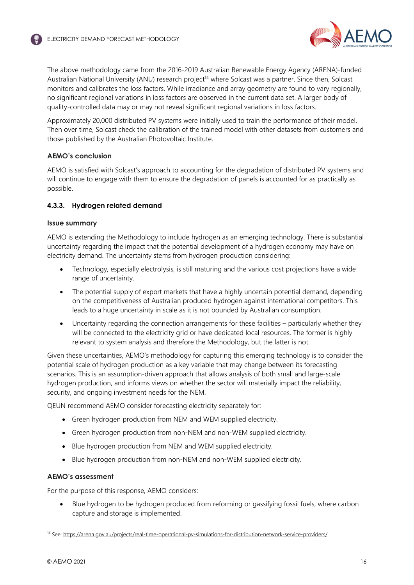

The above methodology came from the 2016-2019 Australian Renewable Energy Agency (ARENA)-funded Australian National University (ANU) research project<sup>[14](#page-15-1)</sup> where Solcast was a partner. Since then, Solcast monitors and calibrates the loss factors. While irradiance and array geometry are found to vary regionally, no significant regional variations in loss factors are observed in the current data set. A larger body of quality-controlled data may or may not reveal significant regional variations in loss factors.

Approximately 20,000 distributed PV systems were initially used to train the performance of their model. Then over time, Solcast check the calibration of the trained model with other datasets from customers and those published by the Australian Photovoltaic Institute.

## **AEMO's conclusion**

AEMO is satisfied with Solcast's approach to accounting for the degradation of distributed PV systems and will continue to engage with them to ensure the degradation of panels is accounted for as practically as possible.

## <span id="page-15-0"></span>**4.3.3. Hydrogen related demand**

### **Issue summary**

AEMO is extending the Methodology to include hydrogen as an emerging technology. There is substantial uncertainty regarding the impact that the potential development of a hydrogen economy may have on electricity demand. The uncertainty stems from hydrogen production considering:

- Technology, especially electrolysis, is still maturing and the various cost projections have a wide range of uncertainty.
- The potential supply of export markets that have a highly uncertain potential demand, depending on the competitiveness of Australian produced hydrogen against international competitors. This leads to a huge uncertainty in scale as it is not bounded by Australian consumption.
- Uncertainty regarding the connection arrangements for these facilities particularly whether they will be connected to the electricity grid or have dedicated local resources. The former is highly relevant to system analysis and therefore the Methodology, but the latter is not.

Given these uncertainties, AEMO's methodology for capturing this emerging technology is to consider the potential scale of hydrogen production as a key variable that may change between its forecasting scenarios. This is an assumption-driven approach that allows analysis of both small and large-scale hydrogen production, and informs views on whether the sector will materially impact the reliability, security, and ongoing investment needs for the NEM.

QEUN recommend AEMO consider forecasting electricity separately for:

- Green hydrogen production from NEM and WEM supplied electricity.
- Green hydrogen production from non-NEM and non-WEM supplied electricity.
- Blue hydrogen production from NEM and WEM supplied electricity.
- Blue hydrogen production from non-NEM and non-WEM supplied electricity.

### **AEMO's assessment**

For the purpose of this response, AEMO considers:

 Blue hydrogen to be hydrogen produced from reforming or gassifying fossil fuels, where carbon capture and storage is implemented.

<span id="page-15-1"></span><sup>&</sup>lt;sup>14</sup> See: https://arena.gov.au/projects/real-time-operational-pv-simulations-for-distribution-network-service-providers/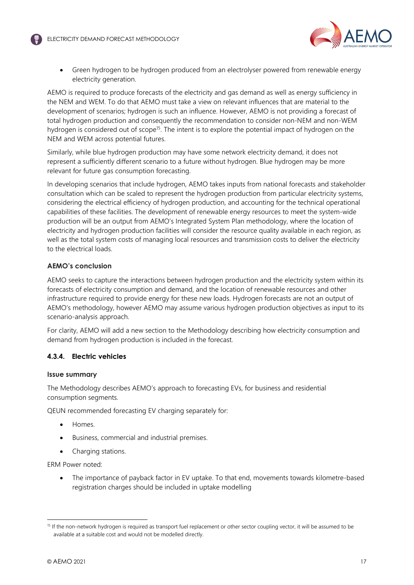

 Green hydrogen to be hydrogen produced from an electrolyser powered from renewable energy electricity generation.

AEMO is required to produce forecasts of the electricity and gas demand as well as energy sufficiency in the NEM and WEM. To do that AEMO must take a view on relevant influences that are material to the development of scenarios; hydrogen is such an influence. However, AEMO is not providing a forecast of total hydrogen production and consequently the recommendation to consider non-NEM and non-WEM hydrogen is considered out of scope<sup>[15](#page-16-0)</sup>. The intent is to explore the potential impact of hydrogen on the NEM and WEM across potential futures.

Similarly, while blue hydrogen production may have some network electricity demand, it does not represent a sufficiently different scenario to a future without hydrogen. Blue hydrogen may be more relevant for future gas consumption forecasting.

In developing scenarios that include hydrogen, AEMO takes inputs from national forecasts and stakeholder consultation which can be scaled to represent the hydrogen production from particular electricity systems, considering the electrical efficiency of hydrogen production, and accounting for the technical operational capabilities of these facilities. The development of renewable energy resources to meet the system-wide production will be an output from AEMO's Integrated System Plan methodology, where the location of electricity and hydrogen production facilities will consider the resource quality available in each region, as well as the total system costs of managing local resources and transmission costs to deliver the electricity to the electrical loads.

### **AEMO's conclusion**

AEMO seeks to capture the interactions between hydrogen production and the electricity system within its forecasts of electricity consumption and demand, and the location of renewable resources and other infrastructure required to provide energy for these new loads. Hydrogen forecasts are not an output of AEMO's methodology, however AEMO may assume various hydrogen production objectives as input to its scenario-analysis approach.

For clarity, AEMO will add a new section to the Methodology describing how electricity consumption and demand from hydrogen production is included in the forecast.

### **4.3.4. Electric vehicles**

### **Issue summary**

The Methodology describes AEMO's approach to forecasting EVs, for business and residential consumption segments.

QEUN recommended forecasting EV charging separately for:

- Homes.
- Business, commercial and industrial premises.
- Charging stations.

ERM Power noted:

 The importance of payback factor in EV uptake. To that end, movements towards kilometre-based registration charges should be included in uptake modelling

<span id="page-16-0"></span><sup>&</sup>lt;sup>15</sup> If the non-network hydrogen is required as transport fuel replacement or other sector coupling vector, it will be assumed to be available at a suitable cost and would not be modelled directly.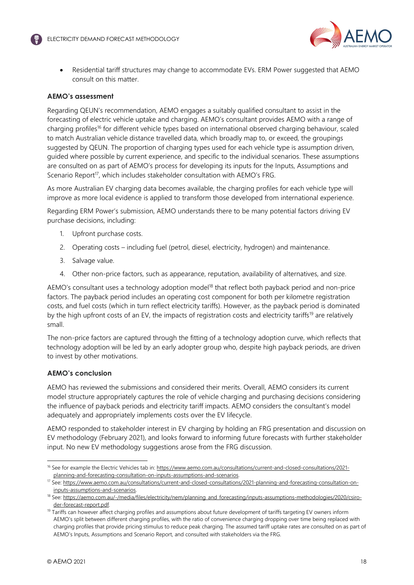

 Residential tariff structures may change to accommodate EVs. ERM Power suggested that AEMO consult on this matter.

### **AEMO's assessment**

Regarding QEUN's recommendation, AEMO engages a suitably qualified consultant to assist in the forecasting of electric vehicle uptake and charging. AEMO's consultant provides AEMO with a range of charging profiles[16](#page-17-0) for different vehicle types based on international observed charging behaviour, scaled to match Australian vehicle distance travelled data, which broadly map to, or exceed, the groupings suggested by QEUN. The proportion of charging types used for each vehicle type is assumption driven, guided where possible by current experience, and specific to the individual scenarios. These assumptions are consulted on as part of AEMO's process for developing its inputs for the Inputs, Assumptions and Scenario Report<sup>[17](#page-17-1)</sup>, which includes stakeholder consultation with AEMO's FRG.

As more Australian EV charging data becomes available, the charging profiles for each vehicle type will improve as more local evidence is applied to transform those developed from international experience.

Regarding ERM Power's submission, AEMO understands there to be many potential factors driving EV purchase decisions, including:

- 1. Upfront purchase costs.
- 2. Operating costs including fuel (petrol, diesel, electricity, hydrogen) and maintenance.
- 3. Salvage value.
- 4. Other non-price factors, such as appearance, reputation, availability of alternatives, and size.

AEMO's consultant uses a technology adoption model<sup>[18](#page-17-2)</sup> that reflect both payback period and non-price factors. The payback period includes an operating cost component for both per kilometre registration costs, and fuel costs (which in turn reflect electricity tariffs). However, as the payback period is dominated by the high upfront costs of an EV, the impacts of registration costs and electricity tariffs<sup>[19](#page-17-3)</sup> are relatively small.

The non-price factors are captured through the fitting of a technology adoption curve, which reflects that technology adoption will be led by an early adopter group who, despite high payback periods, are driven to invest by other motivations.

### **AEMO's conclusion**

AEMO has reviewed the submissions and considered their merits. Overall, AEMO considers its current model structure appropriately captures the role of vehicle charging and purchasing decisions considering the influence of payback periods and electricity tariff impacts. AEMO considers the consultant's model adequately and appropriately implements costs over the EV lifecycle.

AEMO responded to stakeholder interest in EV charging by holding an FRG presentation and discussion on EV methodology (February 2021), and looks forward to informing future forecasts with further stakeholder input. No new EV methodology suggestions arose from the FRG discussion.

<span id="page-17-0"></span><sup>&</sup>lt;sup>16</sup> See for example the Electric Vehicles tab in: https://www.aemo.com.au/consultations/current-and-closed-consultations/2021planning-and-forecasting-consultation-on-inputs-assumptions-and-scenarios.

<span id="page-17-1"></span><sup>17</sup> See: https://www.aemo.com.au/consultations/current-and-closed-consultations/2021-planning-and-forecasting-consultation-oninputs-assumptions-and-scenarios.

<span id="page-17-2"></span><sup>&</sup>lt;sup>18</sup> See: https://aemo.com.au/-/media/files/electricity/nem/planning\_and\_forecasting/inputs-assumptions-methodologies/2020/csiroder-forecast-report.pdf.

<span id="page-17-3"></span><sup>&</sup>lt;sup>19</sup> Tariffs can however affect charging profiles and assumptions about future development of tariffs targeting EV owners inform AEMO's split between different charging profiles, with the ratio of convenience charging dropping over time being replaced with charging profiles that provide pricing stimulus to reduce peak charging. The assumed tariff uptake rates are consulted on as part of AEMO's Inputs, Assumptions and Scenario Report, and consulted with stakeholders via the FRG.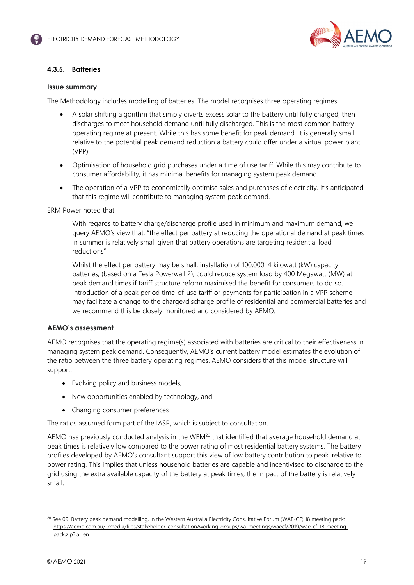

# **4.3.5. Batteries**

### **Issue summary**

The Methodology includes modelling of batteries. The model recognises three operating regimes:

- A solar shifting algorithm that simply diverts excess solar to the battery until fully charged, then discharges to meet household demand until fully discharged. This is the most common battery operating regime at present. While this has some benefit for peak demand, it is generally small relative to the potential peak demand reduction a battery could offer under a virtual power plant (VPP).
- Optimisation of household grid purchases under a time of use tariff. While this may contribute to consumer affordability, it has minimal benefits for managing system peak demand.
- The operation of a VPP to economically optimise sales and purchases of electricity. It's anticipated that this regime will contribute to managing system peak demand.

ERM Power noted that:

With regards to battery charge/discharge profile used in minimum and maximum demand, we query AEMO's view that, "the effect per battery at reducing the operational demand at peak times in summer is relatively small given that battery operations are targeting residential load reductions".

Whilst the effect per battery may be small, installation of 100,000, 4 kilowatt (kW) capacity batteries, (based on a Tesla Powerwall 2), could reduce system load by 400 Megawatt (MW) at peak demand times if tariff structure reform maximised the benefit for consumers to do so. Introduction of a peak period time-of-use tariff or payments for participation in a VPP scheme may facilitate a change to the charge/discharge profile of residential and commercial batteries and we recommend this be closely monitored and considered by AEMO.

### **AEMO's assessment**

AEMO recognises that the operating regime(s) associated with batteries are critical to their effectiveness in managing system peak demand. Consequently, AEMO's current battery model estimates the evolution of the ratio between the three battery operating regimes. AEMO considers that this model structure will support:

- Evolving policy and business models,
- New opportunities enabled by technology, and
- Changing consumer preferences

The ratios assumed form part of the IASR, which is subject to consultation.

AEMO has previously conducted analysis in the WEM<sup>[20](#page-18-0)</sup> that identified that average household demand at peak times is relatively low compared to the power rating of most residential battery systems. The battery profiles developed by AEMO's consultant support this view of low battery contribution to peak, relative to power rating. This implies that unless household batteries are capable and incentivised to discharge to the grid using the extra available capacity of the battery at peak times, the impact of the battery is relatively small.

<span id="page-18-0"></span><sup>&</sup>lt;sup>20</sup> See 09. Battery peak demand modelling, in the Western Australia Electricity Consultative Forum (WAE-CF) 18 meeting pack: https://aemo.com.au/-/media/files/stakeholder\_consultation/working\_groups/wa\_meetings/waecf/2019/wae-cf-18-meetingpack.zip?la=en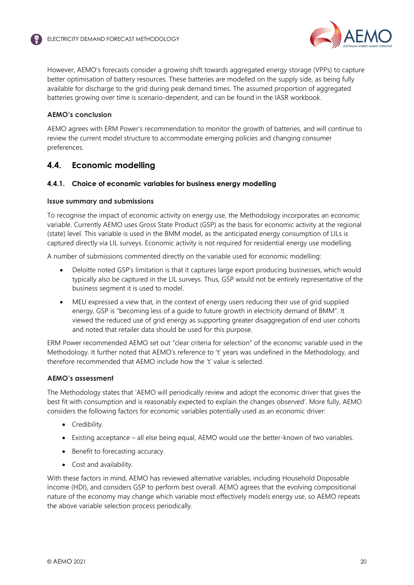

However, AEMO's forecasts consider a growing shift towards aggregated energy storage (VPPs) to capture better optimisation of battery resources. These batteries are modelled on the supply side, as being fully available for discharge to the grid during peak demand times. The assumed proportion of aggregated batteries growing over time is scenario-dependent, and can be found in the IASR workbook.

# **AEMO's conclusion**

AEMO agrees with ERM Power's recommendation to monitor the growth of batteries, and will continue to review the current model structure to accommodate emerging policies and changing consumer preferences.

# <span id="page-19-0"></span>**4.4. Economic modelling**

### **4.4.1. Choice of economic variables for business energy modelling**

### **Issue summary and submissions**

To recognise the impact of economic activity on energy use, the Methodology incorporates an economic variable. Currently AEMO uses Gross State Product (GSP) as the basis for economic activity at the regional (state) level. This variable is used in the BMM model, as the anticipated energy consumption of LILs is captured directly via LIL surveys. Economic activity is not required for residential energy use modelling.

A number of submissions commented directly on the variable used for economic modelling:

- Deloitte noted GSP's limitation is that it captures large export producing businesses, which would typically also be captured in the LIL surveys. Thus, GSP would not be entirely representative of the business segment it is used to model.
- MEU expressed a view that, in the context of energy users reducing their use of grid supplied energy, GSP is "becoming less of a guide to future growth in electricity demand of BMM". It viewed the reduced use of grid energy as supporting greater disaggregation of end user cohorts and noted that retailer data should be used for this purpose.

ERM Power recommended AEMO set out "clear criteria for selection" of the economic variable used in the Methodology. It further noted that AEMO's reference to 't' years was undefined in the Methodology, and therefore recommended that AEMO include how the 't' value is selected.

### **AEMO's assessment**

The Methodology states that 'AEMO will periodically review and adopt the economic driver that gives the best fit with consumption and is reasonably expected to explain the changes observed'. More fully, AEMO considers the following factors for economic variables potentially used as an economic driver:

- Credibility.
- Existing acceptance all else being equal, AEMO would use the better-known of two variables.
- Benefit to forecasting accuracy.
- Cost and availability.

With these factors in mind, AEMO has reviewed alternative variables, including Household Disposable Income (HDI), and considers GSP to perform best overall. AEMO agrees that the evolving compositional nature of the economy may change which variable most effectively models energy use, so AEMO repeats the above variable selection process periodically.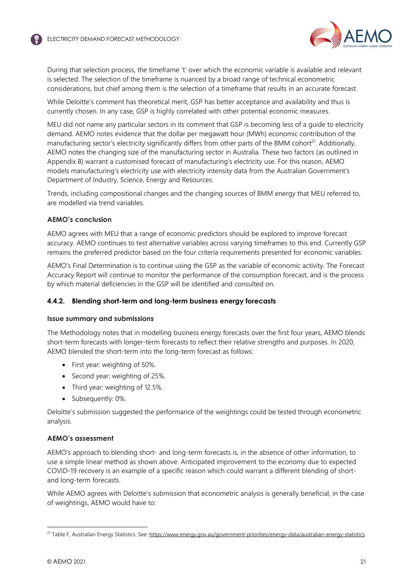

During that selection process, the timeframe 't' over which the economic variable is available and relevant is selected. The selection of the timeframe is nuanced by a broad range of technical econometric considerations, but chief among them is the selection of a timeframe that results in an accurate forecast.

While Deloitte's comment has theoretical merit, GSP has better acceptance and availability and thus is currently chosen. In any case, GSP is highly correlated with other potential economic measures.

MEU did not name any particular sectors in its comment that GSP is becoming less of a guide to electricity demand. AEMO notes evidence that the dollar per megawatt hour (MWh) economic contribution of the manufacturing sector's electricity significantly differs from other parts of the BMM cohort<sup>[21](#page-20-0)</sup>. Additionally, AEMO notes the changing size of the manufacturing sector in Australia. These two factors (as outlined in Appendix B) warrant a customised forecast of manufacturing's electricity use. For this reason, AEMO models manufacturing's electricity use with electricity intensity data from the Australian Government's Department of Industry, Science, Energy and Resources.

Trends, including compositional changes and the changing sources of BMM energy that MEU referred to, are modelled via trend variables.

### **AEMO's conclusion**

AEMO agrees with MEU that a range of economic predictors should be explored to improve forecast accuracy. AEMO continues to test alternative variables across varying timeframes to this end. Currently GSP remains the preferred predictor based on the four criteria requirements presented for economic variables.

AEMO's Final Determination is to continue using the GSP as the variable of economic activity. The Forecast Accuracy Report will continue to monitor the performance of the consumption forecast, and is the process by which material deficiencies in the GSP will be identified and consulted on.

### **4.4.2. Blending short-term and long-term business energy forecasts**

### **Issue summary and submissions**

The Methodology notes that in modelling business energy forecasts over the first four years, AEMO blends short-term forecasts with longer-term forecasts to reflect their relative strengths and purposes. In 2020, AEMO blended the short-term into the long-term forecast as follows:

- First year: weighting of 50%.
- Second year: weighting of 25%.
- Third year: weighting of 12.5%.
- Subsequently: 0%.

Deloitte's submission suggested the performance of the weightings could be tested through econometric analysis.

### **AEMO's assessment**

AEMO's approach to blending short- and long-term forecasts is, in the absence of other information, to use a simple linear method as shown above. Anticipated improvement to the economy due to expected COVID-19 recovery is an example of a specific reason which could warrant a different blending of shortand long-term forecasts.

While AEMO agrees with Deloitte's submission that econometric analysis is generally beneficial, in the case of weightings, AEMO would have to:

<span id="page-20-0"></span><sup>&</sup>lt;sup>21</sup> Table F, Australian Energy Statistics. See: https://www.energy.gov.au/government-priorities/energy-data/australian-energy-statistics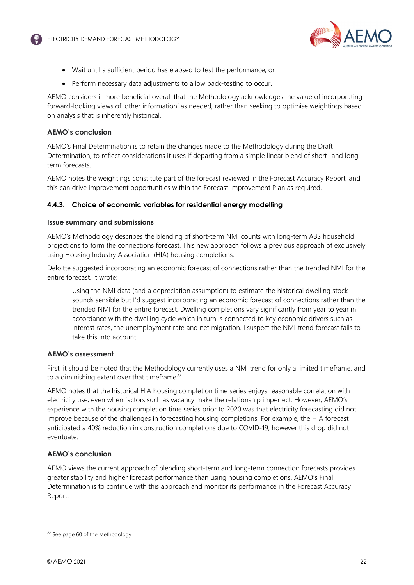

- Wait until a sufficient period has elapsed to test the performance, or
- Perform necessary data adjustments to allow back-testing to occur.

AEMO considers it more beneficial overall that the Methodology acknowledges the value of incorporating forward-looking views of 'other information' as needed, rather than seeking to optimise weightings based on analysis that is inherently historical.

## **AEMO's conclusion**

AEMO's Final Determination is to retain the changes made to the Methodology during the Draft Determination, to reflect considerations it uses if departing from a simple linear blend of short- and longterm forecasts.

AEMO notes the weightings constitute part of the forecast reviewed in the Forecast Accuracy Report, and this can drive improvement opportunities within the Forecast Improvement Plan as required.

## **4.4.3. Choice of economic variables for residential energy modelling**

### **Issue summary and submissions**

AEMO's Methodology describes the blending of short-term NMI counts with long-term ABS household projections to form the connections forecast. This new approach follows a previous approach of exclusively using Housing Industry Association (HIA) housing completions.

Deloitte suggested incorporating an economic forecast of connections rather than the trended NMI for the entire forecast. It wrote:

Using the NMI data (and a depreciation assumption) to estimate the historical dwelling stock sounds sensible but I'd suggest incorporating an economic forecast of connections rather than the trended NMI for the entire forecast. Dwelling completions vary significantly from year to year in accordance with the dwelling cycle which in turn is connected to key economic drivers such as interest rates, the unemployment rate and net migration. I suspect the NMI trend forecast fails to take this into account.

# **AEMO's assessment**

First, it should be noted that the Methodology currently uses a NMI trend for only a limited timeframe, and to a diminishing extent over that timeframe<sup>[22](#page-21-0)</sup>.

AEMO notes that the historical HIA housing completion time series enjoys reasonable correlation with electricity use, even when factors such as vacancy make the relationship imperfect. However, AEMO's experience with the housing completion time series prior to 2020 was that electricity forecasting did not improve because of the challenges in forecasting housing completions. For example, the HIA forecast anticipated a 40% reduction in construction completions due to COVID-19, however this drop did not eventuate.

# **AEMO's conclusion**

AEMO views the current approach of blending short-term and long-term connection forecasts provides greater stability and higher forecast performance than using housing completions. AEMO's Final Determination is to continue with this approach and monitor its performance in the Forecast Accuracy Report.

<span id="page-21-0"></span><sup>&</sup>lt;sup>22</sup> See page 60 of the Methodology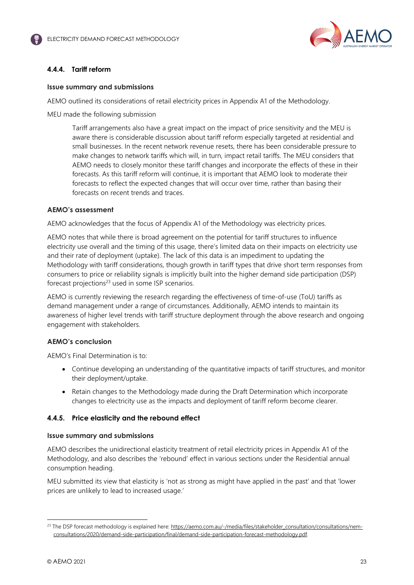

## **4.4.4. Tariff reform**

### **Issue summary and submissions**

AEMO outlined its considerations of retail electricity prices in Appendix A1 of the Methodology.

MEU made the following submission

Tariff arrangements also have a great impact on the impact of price sensitivity and the MEU is aware there is considerable discussion about tariff reform especially targeted at residential and small businesses. In the recent network revenue resets, there has been considerable pressure to make changes to network tariffs which will, in turn, impact retail tariffs. The MEU considers that AEMO needs to closely monitor these tariff changes and incorporate the effects of these in their forecasts. As this tariff reform will continue, it is important that AEMO look to moderate their forecasts to reflect the expected changes that will occur over time, rather than basing their forecasts on recent trends and traces.

### **AEMO's assessment**

AEMO acknowledges that the focus of Appendix A1 of the Methodology was electricity prices.

AEMO notes that while there is broad agreement on the potential for tariff structures to influence electricity use overall and the timing of this usage, there's limited data on their impacts on electricity use and their rate of deployment (uptake). The lack of this data is an impediment to updating the Methodology with tariff considerations, though growth in tariff types that drive short term responses from consumers to price or reliability signals is implicitly built into the higher demand side participation (DSP) forecast projections<sup>[23](#page-22-0)</sup> used in some ISP scenarios.

AEMO is currently reviewing the research regarding the effectiveness of time-of-use (ToU) tariffs as demand management under a range of circumstances. Additionally, AEMO intends to maintain its awareness of higher level trends with tariff structure deployment through the above research and ongoing engagement with stakeholders.

### **AEMO's conclusion**

AEMO's Final Determination is to:

- Continue developing an understanding of the quantitative impacts of tariff structures, and monitor their deployment/uptake.
- Retain changes to the Methodology made during the Draft Determination which incorporate changes to electricity use as the impacts and deployment of tariff reform become clearer.

### **4.4.5. Price elasticity and the rebound effect**

### **Issue summary and submissions**

AEMO describes the unidirectional elasticity treatment of retail electricity prices in Appendix A1 of the Methodology, and also describes the 'rebound' effect in various sections under the Residential annual consumption heading.

MEU submitted its view that elasticity is 'not as strong as might have applied in the past' and that 'lower prices are unlikely to lead to increased usage.'

<span id="page-22-0"></span><sup>&</sup>lt;sup>23</sup> The DSP forecast methodology is explained here: https://aemo.com.au/-/media/files/stakeholder\_consultation/consultations/nemconsultations/2020/demand-side-participation/final/demand-side-participation-forecast-methodology.pdf.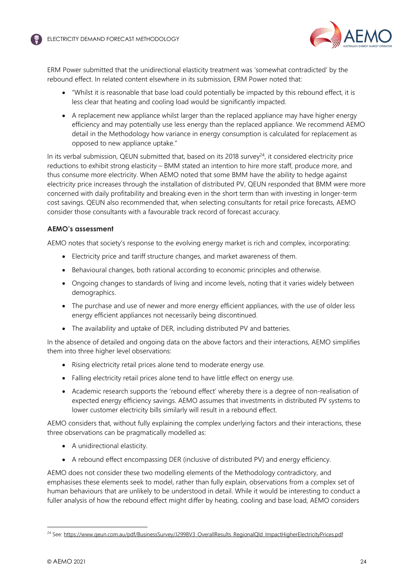

ERM Power submitted that the unidirectional elasticity treatment was 'somewhat contradicted' by the rebound effect. In related content elsewhere in its submission, ERM Power noted that:

- "Whilst it is reasonable that base load could potentially be impacted by this rebound effect, it is less clear that heating and cooling load would be significantly impacted.
- A replacement new appliance whilst larger than the replaced appliance may have higher energy efficiency and may potentially use less energy than the replaced appliance. We recommend AEMO detail in the Methodology how variance in energy consumption is calculated for replacement as opposed to new appliance uptake."

In its verbal submission, QEUN submitted that, based on its 2018 survey $24$ , it considered electricity price reductions to exhibit strong elasticity – BMM stated an intention to hire more staff, produce more, and thus consume more electricity. When AEMO noted that some BMM have the ability to hedge against electricity price increases through the installation of distributed PV, QEUN responded that BMM were more concerned with daily profitability and breaking even in the short term than with investing in longer-term cost savings. QEUN also recommended that, when selecting consultants for retail price forecasts, AEMO consider those consultants with a favourable track record of forecast accuracy.

## **AEMO's assessment**

AEMO notes that society's response to the evolving energy market is rich and complex, incorporating:

- Electricity price and tariff structure changes, and market awareness of them.
- **Behavioural changes, both rational according to economic principles and otherwise.**
- Ongoing changes to standards of living and income levels, noting that it varies widely between demographics.
- The purchase and use of newer and more energy efficient appliances, with the use of older less energy efficient appliances not necessarily being discontinued.
- The availability and uptake of DER, including distributed PV and batteries.

In the absence of detailed and ongoing data on the above factors and their interactions, AEMO simplifies them into three higher level observations:

- Rising electricity retail prices alone tend to moderate energy use.
- Falling electricity retail prices alone tend to have little effect on energy use.
- Academic research supports the 'rebound effect' whereby there is a degree of non-realisation of expected energy efficiency savings. AEMO assumes that investments in distributed PV systems to lower customer electricity bills similarly will result in a rebound effect.

AEMO considers that, without fully explaining the complex underlying factors and their interactions, these three observations can be pragmatically modelled as:

- A unidirectional elasticity.
- A rebound effect encompassing DER (inclusive of distributed PV) and energy efficiency.

AEMO does not consider these two modelling elements of the Methodology contradictory, and emphasises these elements seek to model, rather than fully explain, observations from a complex set of human behaviours that are unlikely to be understood in detail. While it would be interesting to conduct a fuller analysis of how the rebound effect might differ by heating, cooling and base load, AEMO considers

<span id="page-23-0"></span><sup>&</sup>lt;sup>24</sup> See: https://www.qeun.com.au/pdf/BusinessSurvey/J2998V3\_OverallResults\_RegionalQld\_ImpactHigherElectricityPrices.pdf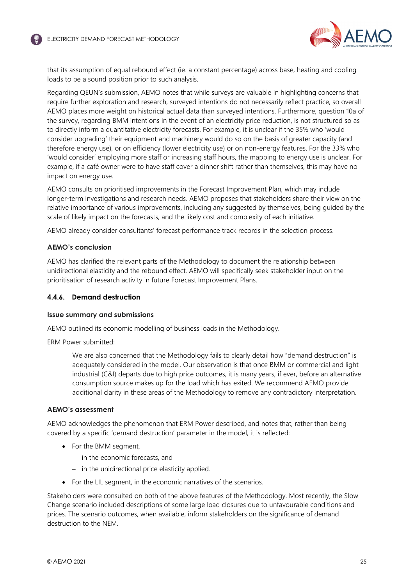

that its assumption of equal rebound effect (ie. a constant percentage) across base, heating and cooling loads to be a sound position prior to such analysis.

Regarding QEUN's submission, AEMO notes that while surveys are valuable in highlighting concerns that require further exploration and research, surveyed intentions do not necessarily reflect practice, so overall AEMO places more weight on historical actual data than surveyed intentions. Furthermore, question 10a of the survey, regarding BMM intentions in the event of an electricity price reduction, is not structured so as to directly inform a quantitative electricity forecasts. For example, it is unclear if the 35% who 'would consider upgrading' their equipment and machinery would do so on the basis of greater capacity (and therefore energy use), or on efficiency (lower electricity use) or on non-energy features. For the 33% who 'would consider' employing more staff or increasing staff hours, the mapping to energy use is unclear. For example, if a café owner were to have staff cover a dinner shift rather than themselves, this may have no impact on energy use.

AEMO consults on prioritised improvements in the Forecast Improvement Plan, which may include longer-term investigations and research needs. AEMO proposes that stakeholders share their view on the relative importance of various improvements, including any suggested by themselves, being guided by the scale of likely impact on the forecasts, and the likely cost and complexity of each initiative.

AEMO already consider consultants' forecast performance track records in the selection process.

### **AEMO's conclusion**

AEMO has clarified the relevant parts of the Methodology to document the relationship between unidirectional elasticity and the rebound effect. AEMO will specifically seek stakeholder input on the prioritisation of research activity in future Forecast Improvement Plans.

### **4.4.6. Demand destruction**

### **Issue summary and submissions**

AEMO outlined its economic modelling of business loads in the Methodology.

ERM Power submitted:

We are also concerned that the Methodology fails to clearly detail how "demand destruction" is adequately considered in the model. Our observation is that once BMM or commercial and light industrial (C&I) departs due to high price outcomes, it is many years, if ever, before an alternative consumption source makes up for the load which has exited. We recommend AEMO provide additional clarity in these areas of the Methodology to remove any contradictory interpretation.

### **AEMO's assessment**

AEMO acknowledges the phenomenon that ERM Power described, and notes that, rather than being covered by a specific 'demand destruction' parameter in the model, it is reflected:

- For the BMM segment,
	- $-$  in the economic forecasts, and
	- $-$  in the unidirectional price elasticity applied.
- For the LIL segment, in the economic narratives of the scenarios.

Stakeholders were consulted on both of the above features of the Methodology. Most recently, the Slow Change scenario included descriptions of some large load closures due to unfavourable conditions and prices. The scenario outcomes, when available, inform stakeholders on the significance of demand destruction to the NEM.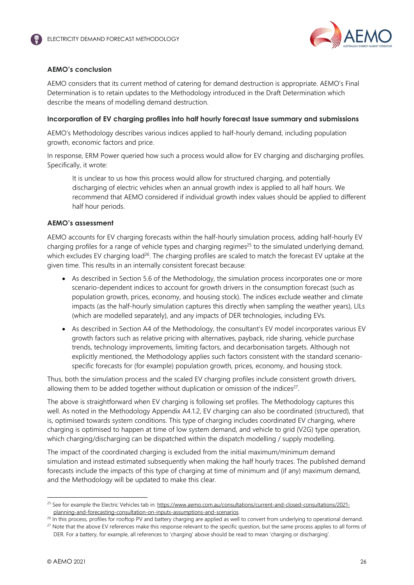

# **AEMO's conclusion**

AEMO considers that its current method of catering for demand destruction is appropriate. AEMO's Final Determination is to retain updates to the Methodology introduced in the Draft Determination which describe the means of modelling demand destruction.

### **Incorporation of EV charging profiles into half hourly forecast Issue summary and submissions**

AEMO's Methodology describes various indices applied to half-hourly demand, including population growth, economic factors and price.

In response, ERM Power queried how such a process would allow for EV charging and discharging profiles. Specifically, it wrote:

It is unclear to us how this process would allow for structured charging, and potentially discharging of electric vehicles when an annual growth index is applied to all half hours. We recommend that AEMO considered if individual growth index values should be applied to different half hour periods.

### **AEMO's assessment**

AEMO accounts for EV charging forecasts within the half-hourly simulation process, adding half-hourly EV charging profiles for a range of vehicle types and charging regimes<sup>[25](#page-25-0)</sup> to the simulated underlying demand, which excludes EV charging load<sup>[26](#page-25-1)</sup>. The charging profiles are scaled to match the forecast EV uptake at the given time. This results in an internally consistent forecast because:

- As described in Section 5.6 of the Methodology, the simulation process incorporates one or more scenario-dependent indices to account for growth drivers in the consumption forecast (such as population growth, prices, economy, and housing stock). The indices exclude weather and climate impacts (as the half-hourly simulation captures this directly when sampling the weather years), LILs (which are modelled separately), and any impacts of DER technologies, including EVs.
- As described in Section A4 of the Methodology, the consultant's EV model incorporates various EV growth factors such as relative pricing with alternatives, payback, ride sharing, vehicle purchase trends, technology improvements, limiting factors, and decarbonisation targets. Although not explicitly mentioned, the Methodology applies such factors consistent with the standard scenariospecific forecasts for (for example) population growth, prices, economy, and housing stock.

Thus, both the simulation process and the scaled EV charging profiles include consistent growth drivers, allowing them to be added together without duplication or omission of the indices<sup>[27](#page-25-2)</sup>.

The above is straightforward when EV charging is following set profiles. The Methodology captures this well. As noted in the Methodology Appendix A4.1.2, EV charging can also be coordinated (structured), that is, optimised towards system conditions. This type of charging includes coordinated EV charging, where charging is optimised to happen at time of low system demand, and vehicle to grid (V2G) type operation, which charging/discharging can be dispatched within the dispatch modelling / supply modelling.

The impact of the coordinated charging is excluded from the initial maximum/minimum demand simulation and instead estimated subsequently when making the half hourly traces. The published demand forecasts include the impacts of this type of charging at time of minimum and (if any) maximum demand, and the Methodology will be updated to make this clear.

<span id="page-25-0"></span><sup>&</sup>lt;sup>25</sup> See for example the Electric Vehicles tab in: https://www.aemo.com.au/consultations/current-and-closed-consultations/2021planning-and-forecasting-consultation-on-inputs-assumptions-and-scenarios.

<span id="page-25-1"></span><sup>&</sup>lt;sup>26</sup> In this process, profiles for rooftop PV and battery charging are applied as well to convert from underlying to operational demand. <sup>27</sup> Note that the above EV references make this response relevant to the specific question, but the same process applies to all forms of

<span id="page-25-2"></span>DER. For a battery, for example, all references to 'charging' above should be read to mean 'charging or discharging'.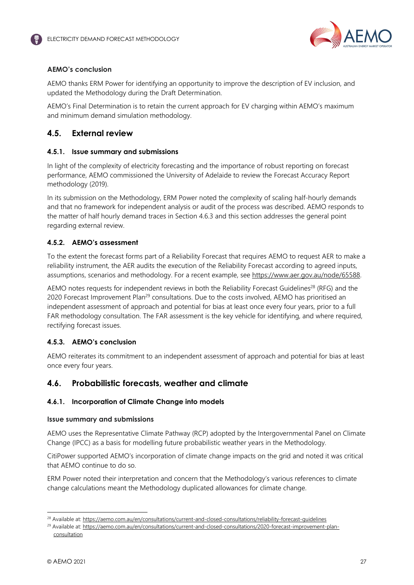

# **AEMO's conclusion**

AEMO thanks ERM Power for identifying an opportunity to improve the description of EV inclusion, and updated the Methodology during the Draft Determination.

AEMO's Final Determination is to retain the current approach for EV charging within AEMO's maximum and minimum demand simulation methodology.

# <span id="page-26-0"></span>**4.5. External review**

# **4.5.1. Issue summary and submissions**

In light of the complexity of electricity forecasting and the importance of robust reporting on forecast performance, AEMO commissioned the University of Adelaide to review the Forecast Accuracy Report methodology (2019).

In its submission on the Methodology, ERM Power noted the complexity of scaling half-hourly demands and that no framework for independent analysis or audit of the process was described. AEMO responds to the matter of half hourly demand traces in Section [4.6.3](#page-28-0) and this section addresses the general point regarding external review.

# **4.5.2. AEMO's assessment**

To the extent the forecast forms part of a Reliability Forecast that requires AEMO to request AER to make a reliability instrument, the AER audits the execution of the Reliability Forecast according to agreed inputs, assumptions, scenarios and methodology. For a recent example, see <https://www.aer.gov.au/node/65588>.

AEMO notes requests for independent reviews in both the Reliability Forecast Guidelines<sup>[28](#page-26-2)</sup> (RFG) and the 2020 Forecast Improvement Plan<sup>[29](#page-26-3)</sup> consultations. Due to the costs involved, AEMO has prioritised an independent assessment of approach and potential for bias at least once every four years, prior to a full FAR methodology consultation. The FAR assessment is the key vehicle for identifying, and where required, rectifying forecast issues.

# **4.5.3. AEMO's conclusion**

AEMO reiterates its commitment to an independent assessment of approach and potential for bias at least once every four years.

# <span id="page-26-1"></span>**4.6. Probabilistic forecasts, weather and climate**

# **4.6.1. Incorporation of Climate Change into models**

# **Issue summary and submissions**

AEMO uses the Representative Climate Pathway (RCP) adopted by the Intergovernmental Panel on Climate Change (IPCC) as a basis for modelling future probabilistic weather years in the Methodology.

CitiPower supported AEMO's incorporation of climate change impacts on the grid and noted it was critical that AEMO continue to do so.

ERM Power noted their interpretation and concern that the Methodology's various references to climate change calculations meant the Methodology duplicated allowances for climate change.

<span id="page-26-2"></span><sup>&</sup>lt;sup>28</sup> Available at: https://aemo.com.au/en/consultations/current-and-closed-consultations/reliability-forecast-guidelines

<span id="page-26-3"></span><sup>&</sup>lt;sup>29</sup> Available at: https://aemo.com.au/en/consultations/current-and-closed-consultations/2020-forecast-improvement-planconsultation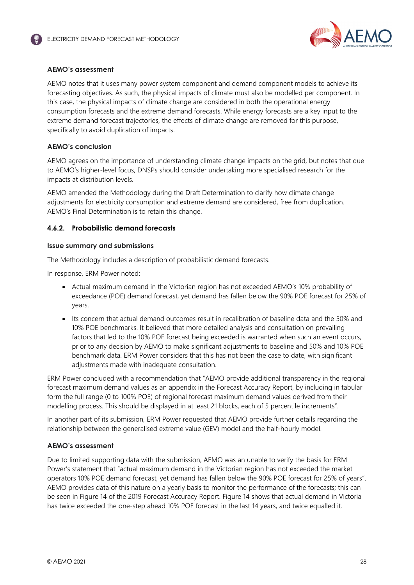

### **AEMO's assessment**

AEMO notes that it uses many power system component and demand component models to achieve its forecasting objectives. As such, the physical impacts of climate must also be modelled per component. In this case, the physical impacts of climate change are considered in both the operational energy consumption forecasts and the extreme demand forecasts. While energy forecasts are a key input to the extreme demand forecast trajectories, the effects of climate change are removed for this purpose, specifically to avoid duplication of impacts.

### **AEMO's conclusion**

AEMO agrees on the importance of understanding climate change impacts on the grid, but notes that due to AEMO's higher-level focus, DNSPs should consider undertaking more specialised research for the impacts at distribution levels.

AEMO amended the Methodology during the Draft Determination to clarify how climate change adjustments for electricity consumption and extreme demand are considered, free from duplication. AEMO's Final Determination is to retain this change.

## <span id="page-27-0"></span>**4.6.2. Probabilistic demand forecasts**

### **Issue summary and submissions**

The Methodology includes a description of probabilistic demand forecasts.

In response, ERM Power noted:

- Actual maximum demand in the Victorian region has not exceeded AEMO's 10% probability of exceedance (POE) demand forecast, yet demand has fallen below the 90% POE forecast for 25% of years.
- Its concern that actual demand outcomes result in recalibration of baseline data and the 50% and 10% POE benchmarks. It believed that more detailed analysis and consultation on prevailing factors that led to the 10% POE forecast being exceeded is warranted when such an event occurs, prior to any decision by AEMO to make significant adjustments to baseline and 50% and 10% POE benchmark data. ERM Power considers that this has not been the case to date, with significant adjustments made with inadequate consultation.

ERM Power concluded with a recommendation that "AEMO provide additional transparency in the regional forecast maximum demand values as an appendix in the Forecast Accuracy Report, by including in tabular form the full range (0 to 100% POE) of regional forecast maximum demand values derived from their modelling process. This should be displayed in at least 21 blocks, each of 5 percentile increments".

In another part of its submission, ERM Power requested that AEMO provide further details regarding the relationship between the generalised extreme value (GEV) model and the half-hourly model.

### **AEMO's assessment**

Due to limited supporting data with the submission, AEMO was an unable to verify the basis for ERM Power's statement that "actual maximum demand in the Victorian region has not exceeded the market operators 10% POE demand forecast, yet demand has fallen below the 90% POE forecast for 25% of years". AEMO provides data of this nature on a yearly basis to monitor the performance of the forecasts; this can be seen in Figure 14 of the 2019 Forecast Accuracy Report. Figure 14 shows that actual demand in Victoria has twice exceeded the one-step ahead 10% POE forecast in the last 14 years, and twice equalled it.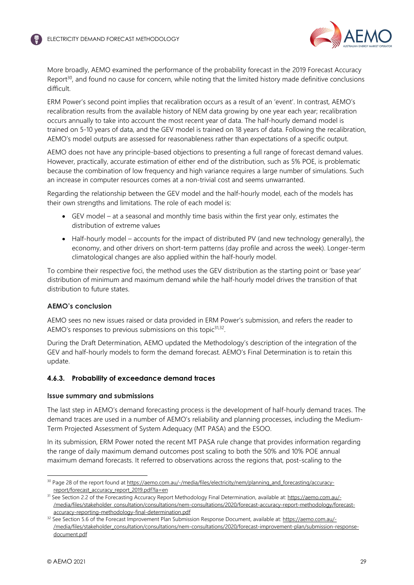

More broadly, AEMO examined the performance of the probability forecast in the 2019 Forecast Accuracy Report $30$ , and found no cause for concern, while noting that the limited history made definitive conclusions difficult.

ERM Power's second point implies that recalibration occurs as a result of an 'event'. In contrast, AEMO's recalibration results from the available history of NEM data growing by one year each year; recalibration occurs annually to take into account the most recent year of data. The half-hourly demand model is trained on 5-10 years of data, and the GEV model is trained on 18 years of data. Following the recalibration, AEMO's model outputs are assessed for reasonableness rather than expectations of a specific output.

AEMO does not have any principle-based objections to presenting a full range of forecast demand values. However, practically, accurate estimation of either end of the distribution, such as 5% POE, is problematic because the combination of low frequency and high variance requires a large number of simulations. Such an increase in computer resources comes at a non-trivial cost and seems unwarranted.

Regarding the relationship between the GEV model and the half-hourly model, each of the models has their own strengths and limitations. The role of each model is:

- GEV model at a seasonal and monthly time basis within the first year only, estimates the distribution of extreme values
- Half-hourly model accounts for the impact of distributed PV (and new technology generally), the economy, and other drivers on short-term patterns (day profile and across the week). Longer-term climatological changes are also applied within the half-hourly model.

To combine their respective foci, the method uses the GEV distribution as the starting point or 'base year' distribution of minimum and maximum demand while the half-hourly model drives the transition of that distribution to future states.

### **AEMO's conclusion**

AEMO sees no new issues raised or data provided in ERM Power's submission, and refers the reader to AEMO's responses to previous submissions on this topic<sup>[31](#page-28-2),[32](#page-28-3)</sup>.

During the Draft Determination, AEMO updated the Methodology's description of the integration of the GEV and half-hourly models to form the demand forecast. AEMO's Final Determination is to retain this update.

### <span id="page-28-0"></span>**4.6.3. Probability of exceedance demand traces**

### **Issue summary and submissions**

The last step in AEMO's demand forecasting process is the development of half-hourly demand traces. The demand traces are used in a number of AEMO's reliability and planning processes, including the Medium-Term Projected Assessment of System Adequacy (MT PASA) and the ESOO.

In its submission, ERM Power noted the recent MT PASA rule change that provides information regarding the range of daily maximum demand outcomes post scaling to both the 50% and 10% POE annual maximum demand forecasts. It referred to observations across the regions that, post-scaling to the

<span id="page-28-1"></span><sup>30</sup> Page 28 of the report found at https://aemo.com.au/-/media/files/electricity/nem/planning\_and\_forecasting/accuracyreport/forecast\_accuracy\_report\_2019.pdf?la=en

<span id="page-28-2"></span><sup>&</sup>lt;sup>31</sup> See Section 2.2 of the Forecasting Accuracy Report Methodology Final Determination, available at: https://aemo.com.au/-/media/files/stakeholder\_consultation/consultations/nem-consultations/2020/forecast-accuracy-report-methodology/forecastaccuracy-reporting-methodology-final-determination.pdf

<span id="page-28-3"></span><sup>32</sup> See Section 5.6 of the Forecast Improvement Plan Submission Response Document, available at: https://aemo.com.au/-/media/files/stakeholder\_consultation/consultations/nem-consultations/2020/forecast-improvement-plan/submission-responsedocument.pdf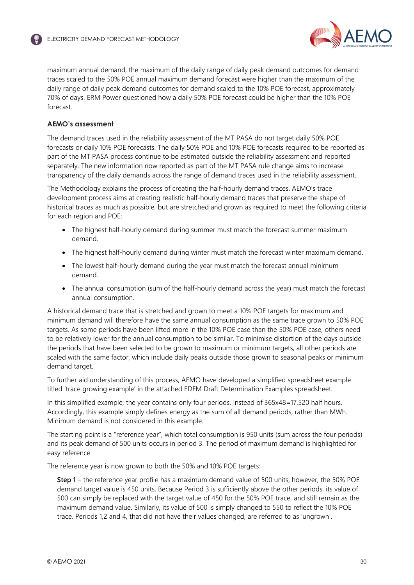

maximum annual demand, the maximum of the daily range of daily peak demand outcomes for demand traces scaled to the 50% POE annual maximum demand forecast were higher than the maximum of the daily range of daily peak demand outcomes for demand scaled to the 10% POE forecast, approximately 70% of days. ERM Power questioned how a daily 50% POE forecast could be higher than the 10% POE forecast.

### **AEMO's assessment**

The demand traces used in the reliability assessment of the MT PASA do not target daily 50% POE forecasts or daily 10% POE forecasts. The daily 50% POE and 10% POE forecasts required to be reported as part of the MT PASA process continue to be estimated outside the reliability assessment and reported separately. The new information now reported as part of the MT PASA rule change aims to increase transparency of the daily demands across the range of demand traces used in the reliability assessment.

The Methodology explains the process of creating the half-hourly demand traces. AEMO's trace development process aims at creating realistic half-hourly demand traces that preserve the shape of historical traces as much as possible, but are stretched and grown as required to meet the following criteria for each region and POE:

- The highest half-hourly demand during summer must match the forecast summer maximum demand.
- The highest half-hourly demand during winter must match the forecast winter maximum demand.
- The lowest half-hourly demand during the year must match the forecast annual minimum demand.
- The annual consumption (sum of the half-hourly demand across the year) must match the forecast annual consumption.

A historical demand trace that is stretched and grown to meet a 10% POE targets for maximum and minimum demand will therefore have the same annual consumption as the same trace grown to 50% POE targets. As some periods have been lifted more in the 10% POE case than the 50% POE case, others need to be relatively lower for the annual consumption to be similar. To minimise distortion of the days outside the periods that have been selected to be grown to maximum or minimum targets, all other periods are scaled with the same factor, which include daily peaks outside those grown to seasonal peaks or minimum demand target.

To further aid understanding of this process, AEMO have developed a simplified spreadsheet example titled 'trace growing example' in the attached EDFM Draft Determination Examples spreadsheet.

In this simplified example, the year contains only four periods, instead of 365x48=17,520 half hours. Accordingly, this example simply defines energy as the sum of all demand periods, rather than MWh. Minimum demand is not considered in this example.

The starting point is a "reference year", which total consumption is 950 units (sum across the four periods) and its peak demand of 500 units occurs in period 3. The period of maximum demand is highlighted for easy reference.

The reference year is now grown to both the 50% and 10% POE targets:

**Step 1** – the reference year profile has a maximum demand value of 500 units, however, the 50% POE demand target value is 450 units. Because Period 3 is sufficiently above the other periods, its value of 500 can simply be replaced with the target value of 450 for the 50% POE trace, and still remain as the maximum demand value. Similarly, its value of 500 is simply changed to 550 to reflect the 10% POE trace. Periods 1,2 and 4, that did not have their values changed, are referred to as 'ungrown'.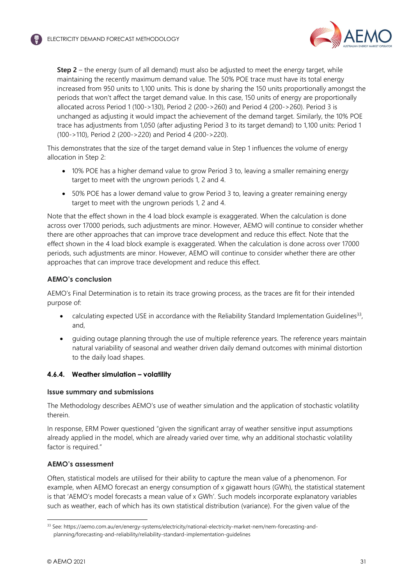

**Step 2** – the energy (sum of all demand) must also be adjusted to meet the energy target, while maintaining the recently maximum demand value. The 50% POE trace must have its total energy increased from 950 units to 1,100 units. This is done by sharing the 150 units proportionally amongst the periods that won't affect the target demand value. In this case, 150 units of energy are proportionally allocated across Period 1 (100->130), Period 2 (200->260) and Period 4 (200->260). Period 3 is unchanged as adjusting it would impact the achievement of the demand target. Similarly, the 10% POE trace has adjustments from 1,050 (after adjusting Period 3 to its target demand) to 1,100 units: Period 1 (100->110), Period 2 (200->220) and Period 4 (200->220).

This demonstrates that the size of the target demand value in Step 1 influences the volume of energy allocation in Step 2:

- 10% POE has a higher demand value to grow Period 3 to, leaving a smaller remaining energy target to meet with the ungrown periods 1, 2 and 4.
- 50% POE has a lower demand value to grow Period 3 to, leaving a greater remaining energy target to meet with the ungrown periods 1, 2 and 4.

Note that the effect shown in the 4 load block example is exaggerated. When the calculation is done across over 17000 periods, such adjustments are minor. However, AEMO will continue to consider whether there are other approaches that can improve trace development and reduce this effect. Note that the effect shown in the 4 load block example is exaggerated. When the calculation is done across over 17000 periods, such adjustments are minor. However, AEMO will continue to consider whether there are other approaches that can improve trace development and reduce this effect.

## **AEMO's conclusion**

AEMO's Final Determination is to retain its trace growing process, as the traces are fit for their intended purpose of:

- calculating expected USE in accordance with the Reliability Standard Implementation Guide[lines](#page-30-0)<sup>33</sup>, and,
- guiding outage planning through the use of multiple reference years. The reference years maintain natural variability of seasonal and weather driven daily demand outcomes with minimal distortion to the daily load shapes.

### **4.6.4. Weather simulation – volatility**

### **Issue summary and submissions**

The Methodology describes AEMO's use of weather simulation and the application of stochastic volatility therein.

In response, ERM Power questioned "given the significant array of weather sensitive input assumptions already applied in the model, which are already varied over time, why an additional stochastic volatility factor is required."

### **AEMO's assessment**

Often, statistical models are utilised for their ability to capture the mean value of a phenomenon. For example, when AEMO forecast an energy consumption of x gigawatt hours (GWh), the statistical statement is that 'AEMO's model forecasts a mean value of x GWh'. Such models incorporate explanatory variables such as weather, each of which has its own statistical distribution (variance). For the given value of the

<span id="page-30-0"></span><sup>33</sup> See: https://aemo.com.au/en/energy-systems/electricity/national-electricity-market-nem/nem-forecasting-andplanning/forecasting-and-reliability/reliability-standard-implementation-guidelines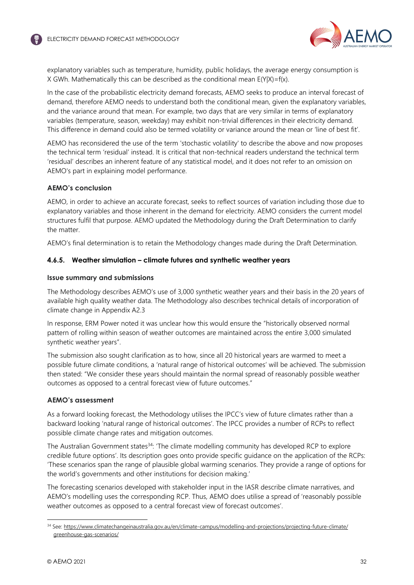

explanatory variables such as temperature, humidity, public holidays, the average energy consumption is X GWh. Mathematically this can be described as the conditional mean  $E(Y|X)=f(x)$ .

In the case of the probabilistic electricity demand forecasts, AEMO seeks to produce an interval forecast of demand, therefore AEMO needs to understand both the conditional mean, given the explanatory variables, and the variance around that mean. For example, two days that are very similar in terms of explanatory variables (temperature, season, weekday) may exhibit non-trivial differences in their electricity demand. This difference in demand could also be termed volatility or variance around the mean or 'line of best fit'.

AEMO has reconsidered the use of the term 'stochastic volatility' to describe the above and now proposes the technical term 'residual' instead. It is critical that non-technical readers understand the technical term 'residual' describes an inherent feature of any statistical model, and it does not refer to an omission on AEMO's part in explaining model performance.

### **AEMO's conclusion**

AEMO, in order to achieve an accurate forecast, seeks to reflect sources of variation including those due to explanatory variables and those inherent in the demand for electricity. AEMO considers the current model structures fulfil that purpose. AEMO updated the Methodology during the Draft Determination to clarify the matter.

AEMO's final determination is to retain the Methodology changes made during the Draft Determination.

### **4.6.5. Weather simulation – climate futures and synthetic weather years**

### **Issue summary and submissions**

The Methodology describes AEMO's use of 3,000 synthetic weather years and their basis in the 20 years of available high quality weather data. The Methodology also describes technical details of incorporation of climate change in Appendix A2.3

In response, ERM Power noted it was unclear how this would ensure the "historically observed normal pattern of rolling within season of weather outcomes are maintained across the entire 3,000 simulated synthetic weather years".

The submission also sought clarification as to how, since all 20 historical years are warmed to meet a possible future climate conditions, a 'natural range of historical outcomes' will be achieved. The submission then stated: "We consider these years should maintain the normal spread of reasonably possible weather outcomes as opposed to a central forecast view of future outcomes."

### **AEMO's assessment**

As a forward looking forecast, the Methodology utilises the IPCC's view of future climates rather than a backward looking 'natural range of historical outcomes'. The IPCC provides a number of RCPs to reflect possible climate change rates and mitigation outcomes.

The Australian Government states<sup>[34](#page-31-0)</sup>: 'The climate modelling community has developed RCP to explore credible future options'. Its description goes onto provide specific guidance on the application of the RCPs: 'These scenarios span the range of plausible global warming scenarios. They provide a range of options for the world's governments and other institutions for decision making.'

The forecasting scenarios developed with stakeholder input in the IASR describe climate narratives, and AEMO's modelling uses the corresponding RCP. Thus, AEMO does utilise a spread of 'reasonably possible weather outcomes as opposed to a central forecast view of forecast outcomes'.

<span id="page-31-0"></span><sup>34</sup> See: https://www.climatechangeinaustralia.gov.au/en/climate-campus/modelling-and-projections/projecting-future-climate/ greenhouse-gas-scenarios/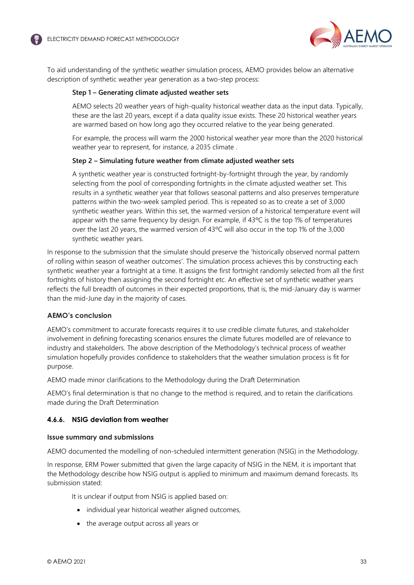

To aid understanding of the synthetic weather simulation process, AEMO provides below an alternative description of synthetic weather year generation as a two-step process:

### **Step 1 – Generating climate adjusted weather sets**

AEMO selects 20 weather years of high-quality historical weather data as the input data. Typically, these are the last 20 years, except if a data quality issue exists. These 20 historical weather years are warmed based on how long ago they occurred relative to the year being generated.

For example, the process will warm the 2000 historical weather year more than the 2020 historical weather year to represent, for instance, a 2035 climate .

### **Step 2 – Simulating future weather from climate adjusted weather sets**

A synthetic weather year is constructed fortnight-by-fortnight through the year, by randomly selecting from the pool of corresponding fortnights in the climate adjusted weather set. This results in a synthetic weather year that follows seasonal patterns and also preserves temperature patterns within the two-week sampled period. This is repeated so as to create a set of 3,000 synthetic weather years. Within this set, the warmed version of a historical temperature event will appear with the same frequency by design. For example, if  $43^{\circ}$ C is the top 1% of temperatures over the last 20 years, the warmed version of 43ºC will also occur in the top 1% of the 3,000 synthetic weather years.

In response to the submission that the simulate should preserve the 'historically observed normal pattern of rolling within season of weather outcomes'. The simulation process achieves this by constructing each synthetic weather year a fortnight at a time. It assigns the first fortnight randomly selected from all the first fortnights of history then assigning the second fortnight etc. An effective set of synthetic weather years reflects the full breadth of outcomes in their expected proportions, that is, the mid-January day is warmer than the mid-June day in the majority of cases.

### **AEMO's conclusion**

AEMO's commitment to accurate forecasts requires it to use credible climate futures, and stakeholder involvement in defining forecasting scenarios ensures the climate futures modelled are of relevance to industry and stakeholders. The above description of the Methodology's technical process of weather simulation hopefully provides confidence to stakeholders that the weather simulation process is fit for purpose.

AEMO made minor clarifications to the Methodology during the Draft Determination

AEMO's final determination is that no change to the method is required, and to retain the clarifications made during the Draft Determination

### **4.6.6. NSIG deviation from weather**

### **Issue summary and submissions**

AEMO documented the modelling of non-scheduled intermittent generation (NSIG) in the Methodology.

In response, ERM Power submitted that given the large capacity of NSIG in the NEM, it is important that the Methodology describe how NSIG output is applied to minimum and maximum demand forecasts. Its submission stated:

It is unclear if output from NSIG is applied based on:

- individual year historical weather aligned outcomes,
- the average output across all years or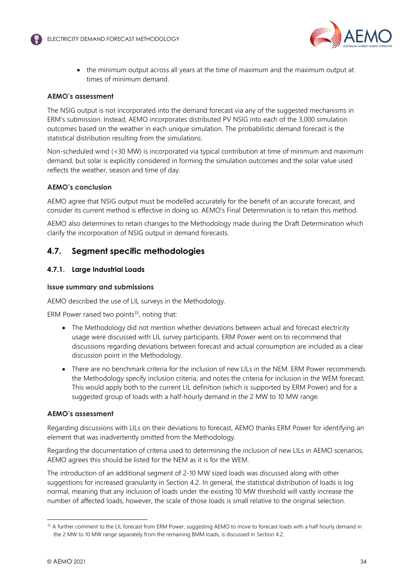

• the minimum output across all years at the time of maximum and the maximum output at times of minimum demand.

### **AEMO's assessment**

The NSIG output is not incorporated into the demand forecast via any of the suggested mechanisms in ERM's submission. Instead, AEMO incorporates distributed PV NSIG into each of the 3,000 simulation outcomes based on the weather in each unique simulation. The probabilistic demand forecast is the statistical distribution resulting from the simulations.

Non-scheduled wind (<30 MW) is incorporated via typical contribution at time of minimum and maximum demand, but solar is explicitly considered in forming the simulation outcomes and the solar value used reflects the weather, season and time of day.

### **AEMO's conclusion**

AEMO agree that NSIG output must be modelled accurately for the benefit of an accurate forecast, and consider its current method is effective in doing so. AEMO's Final Determination is to retain this method.

AEMO also determines to retain changes to the Methodology made during the Draft Determination which clarify the incorporation of NSIG output in demand forecasts.

# <span id="page-33-0"></span>**4.7. Segment specific methodologies**

## **4.7.1. Large Industrial Loads**

### **Issue summary and submissions**

AEMO described the use of LIL surveys in the Methodology.

ERM Power raised two points $35$ , noting that:

- The Methodology did not mention whether deviations between actual and forecast electricity usage were discussed with LIL survey participants. ERM Power went on to recommend that discussions regarding deviations between forecast and actual consumption are included as a clear discussion point in the Methodology.
- There are no benchmark criteria for the inclusion of new LILs in the NEM. ERM Power recommends the Methodology specify inclusion criteria, and notes the criteria for inclusion in the WEM forecast. This would apply both to the current LIL definition (which is supported by ERM Power) and for a suggested group of loads with a half-hourly demand in the 2 MW to 10 MW range.

### **AEMO's assessment**

Regarding discussions with LILs on their deviations to forecast, AEMO thanks ERM Power for identifying an element that was inadvertently omitted from the Methodology.

Regarding the documentation of criteria used to determining the inclusion of new LILs in AEMO scenarios, AEMO agrees this should be listed for the NEM as it is for the WEM.

The introduction of an additional segment of 2-10 MW sized loads was discussed along with other suggestions for increased granularity in Section 4.2. In general, the statistical distribution of loads is log normal, meaning that any inclusion of loads under the existing 10 MW threshold will vastly increase the number of affected loads, however, the scale of those loads is small relative to the original selection.

<span id="page-33-1"></span><sup>&</sup>lt;sup>35</sup> A further comment to the LIL forecast from ERM Power, suggesting AEMO to move to forecast loads with a half hourly demand in the 2 MW to 10 MW range separately from the remaining BMM loads, is discussed in Section 4.2.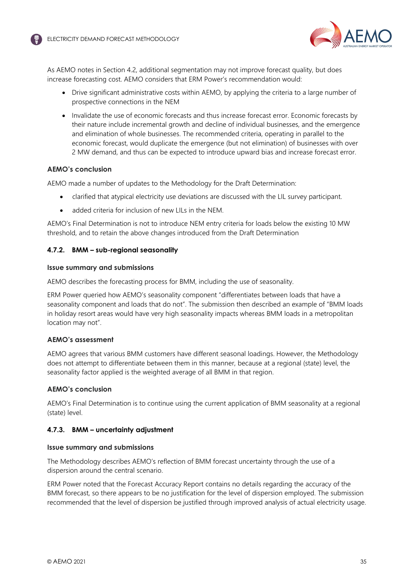

As AEMO notes in Section [4.2,](#page-6-0) additional segmentation may not improve forecast quality, but does increase forecasting cost. AEMO considers that ERM Power's recommendation would:

- Drive significant administrative costs within AEMO, by applying the criteria to a large number of prospective connections in the NEM
- Invalidate the use of economic forecasts and thus increase forecast error. Economic forecasts by their nature include incremental growth and decline of individual businesses, and the emergence and elimination of whole businesses. The recommended criteria, operating in parallel to the economic forecast, would duplicate the emergence (but not elimination) of businesses with over 2 MW demand, and thus can be expected to introduce upward bias and increase forecast error.

### **AEMO's conclusion**

AEMO made a number of updates to the Methodology for the Draft Determination:

- clarified that atypical electricity use deviations are discussed with the LIL survey participant.
- added criteria for inclusion of new LILs in the NEM.

AEMO's Final Determination is not to introduce NEM entry criteria for loads below the existing 10 MW threshold, and to retain the above changes introduced from the Draft Determination

### **4.7.2. BMM – sub-regional seasonality**

### **Issue summary and submissions**

AEMO describes the forecasting process for BMM, including the use of seasonality.

ERM Power queried how AEMO's seasonality component "differentiates between loads that have a seasonality component and loads that do not". The submission then described an example of "BMM loads in holiday resort areas would have very high seasonality impacts whereas BMM loads in a metropolitan location may not".

### **AEMO's assessment**

AEMO agrees that various BMM customers have different seasonal loadings. However, the Methodology does not attempt to differentiate between them in this manner, because at a regional (state) level, the seasonality factor applied is the weighted average of all BMM in that region.

### **AEMO's conclusion**

AEMO's Final Determination is to continue using the current application of BMM seasonality at a regional (state) level.

### **4.7.3. BMM – uncertainty adjustment**

### **Issue summary and submissions**

The Methodology describes AEMO's reflection of BMM forecast uncertainty through the use of a dispersion around the central scenario.

ERM Power noted that the Forecast Accuracy Report contains no details regarding the accuracy of the BMM forecast, so there appears to be no justification for the level of dispersion employed. The submission recommended that the level of dispersion be justified through improved analysis of actual electricity usage.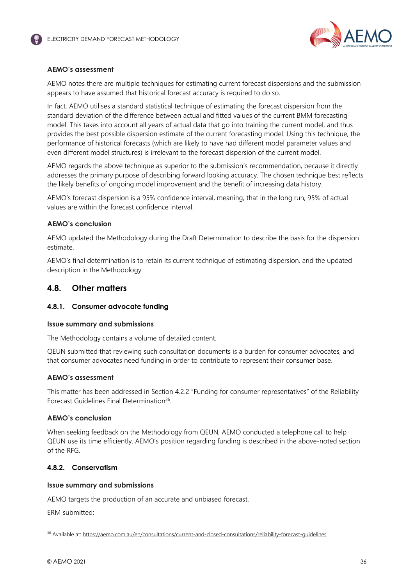

### **AEMO's assessment**

AEMO notes there are multiple techniques for estimating current forecast dispersions and the submission appears to have assumed that historical forecast accuracy is required to do so.

In fact, AEMO utilises a standard statistical technique of estimating the forecast dispersion from the standard deviation of the difference between actual and fitted values of the current BMM forecasting model. This takes into account all years of actual data that go into training the current model, and thus provides the best possible dispersion estimate of the current forecasting model. Using this technique, the performance of historical forecasts (which are likely to have had different model parameter values and even different model structures) is irrelevant to the forecast dispersion of the current model.

AEMO regards the above technique as superior to the submission's recommendation, because it directly addresses the primary purpose of describing forward looking accuracy. The chosen technique best reflects the likely benefits of ongoing model improvement and the benefit of increasing data history.

AEMO's forecast dispersion is a 95% confidence interval, meaning, that in the long run, 95% of actual values are within the forecast confidence interval.

### **AEMO's conclusion**

AEMO updated the Methodology during the Draft Determination to describe the basis for the dispersion estimate.

AEMO's final determination is to retain its current technique of estimating dispersion, and the updated description in the Methodology

# <span id="page-35-0"></span>**4.8. Other matters**

### **4.8.1. Consumer advocate funding**

### **Issue summary and submissions**

The Methodology contains a volume of detailed content.

QEUN submitted that reviewing such consultation documents is a burden for consumer advocates, and that consumer advocates need funding in order to contribute to represent their consumer base.

### **AEMO's assessment**

This matter has been addressed in Section 4.2.2 "Funding for consumer representatives" of the Reliability Forecast Guidelines Final Determination<sup>[36](#page-35-1)</sup>.

### **AEMO's conclusion**

When seeking feedback on the Methodology from QEUN, AEMO conducted a telephone call to help QEUN use its time efficiently. AEMO's position regarding funding is described in the above-noted section of the RFG.

### **4.8.2. Conservatism**

### **Issue summary and submissions**

AEMO targets the production of an accurate and unbiased forecast.

ERM submitted:

<span id="page-35-1"></span><sup>36</sup> Available at: https://aemo.com.au/en/consultations/current-and-closed-consultations/reliability-forecast-guidelines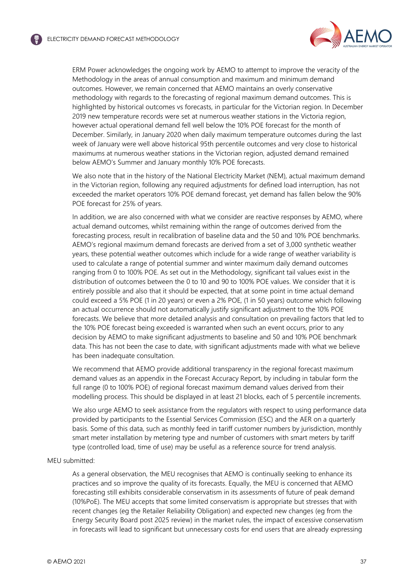

ERM Power acknowledges the ongoing work by AEMO to attempt to improve the veracity of the Methodology in the areas of annual consumption and maximum and minimum demand outcomes. However, we remain concerned that AEMO maintains an overly conservative methodology with regards to the forecasting of regional maximum demand outcomes. This is highlighted by historical outcomes vs forecasts, in particular for the Victorian region. In December 2019 new temperature records were set at numerous weather stations in the Victoria region, however actual operational demand fell well below the 10% POE forecast for the month of December. Similarly, in January 2020 when daily maximum temperature outcomes during the last week of January were well above historical 95th percentile outcomes and very close to historical maximums at numerous weather stations in the Victorian region, adjusted demand remained below AEMO's Summer and January monthly 10% POE forecasts.

We also note that in the history of the National Electricity Market (NEM), actual maximum demand in the Victorian region, following any required adjustments for defined load interruption, has not exceeded the market operators 10% POE demand forecast, yet demand has fallen below the 90% POE forecast for 25% of years.

In addition, we are also concerned with what we consider are reactive responses by AEMO, where actual demand outcomes, whilst remaining within the range of outcomes derived from the forecasting process, result in recalibration of baseline data and the 50 and 10% POE benchmarks. AEMO's regional maximum demand forecasts are derived from a set of 3,000 synthetic weather years, these potential weather outcomes which include for a wide range of weather variability is used to calculate a range of potential summer and winter maximum daily demand outcomes ranging from 0 to 100% POE. As set out in the Methodology, significant tail values exist in the distribution of outcomes between the 0 to 10 and 90 to 100% POE values. We consider that it is entirely possible and also that it should be expected, that at some point in time actual demand could exceed a 5% POE (1 in 20 years) or even a 2% POE, (1 in 50 years) outcome which following an actual occurrence should not automatically justify significant adjustment to the 10% POE forecasts. We believe that more detailed analysis and consultation on prevailing factors that led to the 10% POE forecast being exceeded is warranted when such an event occurs, prior to any decision by AEMO to make significant adjustments to baseline and 50 and 10% POE benchmark data. This has not been the case to date, with significant adjustments made with what we believe has been inadequate consultation.

We recommend that AEMO provide additional transparency in the regional forecast maximum demand values as an appendix in the Forecast Accuracy Report, by including in tabular form the full range (0 to 100% POE) of regional forecast maximum demand values derived from their modelling process. This should be displayed in at least 21 blocks, each of 5 percentile increments.

We also urge AEMO to seek assistance from the regulators with respect to using performance data provided by participants to the Essential Services Commission (ESC) and the AER on a quarterly basis. Some of this data, such as monthly feed in tariff customer numbers by jurisdiction, monthly smart meter installation by metering type and number of customers with smart meters by tariff type (controlled load, time of use) may be useful as a reference source for trend analysis.

#### MEU submitted:

As a general observation, the MEU recognises that AEMO is continually seeking to enhance its practices and so improve the quality of its forecasts. Equally, the MEU is concerned that AEMO forecasting still exhibits considerable conservatism in its assessments of future of peak demand (10%PoE). The MEU accepts that some limited conservatism is appropriate but stresses that with recent changes (eg the Retailer Reliability Obligation) and expected new changes (eg from the Energy Security Board post 2025 review) in the market rules, the impact of excessive conservatism in forecasts will lead to significant but unnecessary costs for end users that are already expressing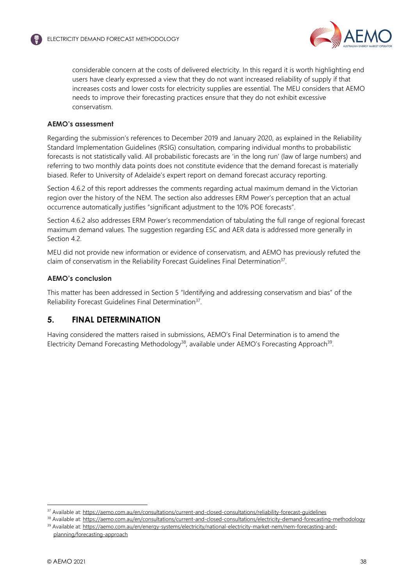

considerable concern at the costs of delivered electricity. In this regard it is worth highlighting end users have clearly expressed a view that they do not want increased reliability of supply if that increases costs and lower costs for electricity supplies are essential. The MEU considers that AEMO needs to improve their forecasting practices ensure that they do not exhibit excessive conservatism.

# **AEMO's assessment**

Regarding the submission's references to December 2019 and January 2020, as explained in the Reliability Standard Implementation Guidelines (RSIG) consultation, comparing individual months to probabilistic forecasts is not statistically valid. All probabilistic forecasts are 'in the long run' (law of large numbers) and referring to two monthly data points does not constitute evidence that the demand forecast is materially biased. Refer to University of Adelaide's expert report on demand forecast accuracy reporting.

Section [4.6.2](#page-27-0) of this report addresses the comments regarding actual maximum demand in the Victorian region over the history of the NEM. The section also addresses ERM Power's perception that an actual occurrence automatically justifies "significant adjustment to the 10% POE forecasts".

Section 4.6.2 also addresses ERM Power's recommendation of tabulating the full range of regional forecast maximum demand values. The suggestion regarding ESC and AER data is addressed more generally in Section [4.2](#page-6-0).

MEU did not provide new information or evidence of conservatism, and AEMO has previously refuted the claim of conservatism in the Reliability Forecast Guidelines Final Determination<sup>[37](#page-37-0)</sup>.

## **AEMO's conclusion**

This matter has been addressed in Section 5 "Identifying and addressing conservatism and bias" of the Reliability Forecast Guidelines Final Determination<sup>37</sup>.

# **5. FINAL DETERMINATION**

Having considered the matters raised in submissions, AEMO's Final Determination is to amend the Electricity Demand Forecasting Methodology<sup>[38](#page-37-1)</sup>, available under AEMO's Forecasting Approach<sup>[39](#page-37-2)</sup>.

<span id="page-37-0"></span><sup>37</sup> Available at: https://aemo.com.au/en/consultations/current-and-closed-consultations/reliability-forecast-guidelines

<span id="page-37-1"></span><sup>38</sup> Available at: https://aemo.com.au/en/consultations/current-and-closed-consultations/electricity-demand-forecasting-methodology 39 Available at: https://aemo.com.au/en/energy-systems/electricity/national-electricity-market-nem/nem-forecasting-and-

<span id="page-37-2"></span>planning/forecasting-approach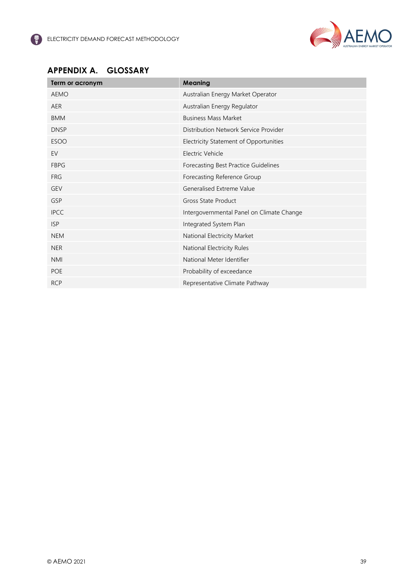

# **APPENDIX A. GLOSSARY**

<span id="page-38-0"></span>

| Term or acronym | <b>Meaning</b>                            |
|-----------------|-------------------------------------------|
| <b>AEMO</b>     | Australian Energy Market Operator         |
| <b>AER</b>      | Australian Energy Regulator               |
| <b>BMM</b>      | <b>Business Mass Market</b>               |
| <b>DNSP</b>     | Distribution Network Service Provider     |
| <b>ESOO</b>     | Electricity Statement of Opportunities    |
| EV              | Electric Vehicle                          |
| <b>FBPG</b>     | Forecasting Best Practice Guidelines      |
| <b>FRG</b>      | Forecasting Reference Group               |
| <b>GEV</b>      | Generalised Extreme Value                 |
| GSP             | Gross State Product                       |
| <b>IPCC</b>     | Intergovernmental Panel on Climate Change |
| <b>ISP</b>      | Integrated System Plan                    |
| <b>NEM</b>      | National Electricity Market               |
| <b>NER</b>      | National Electricity Rules                |
| <b>NMI</b>      | National Meter Identifier                 |
| <b>POE</b>      | Probability of exceedance                 |
| <b>RCP</b>      | Representative Climate Pathway            |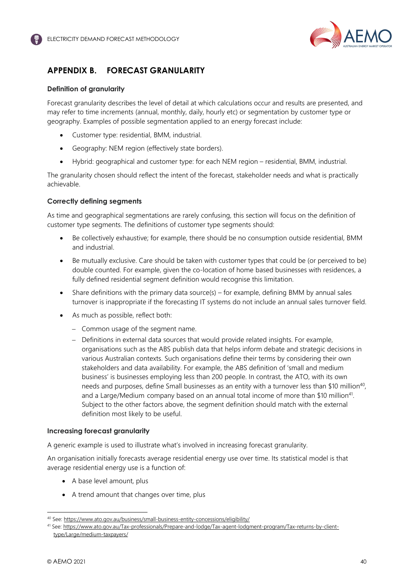

# <span id="page-39-0"></span>**APPENDIX B. FORECAST GRANULARITY**

### **Definition of granularity**

Forecast granularity describes the level of detail at which calculations occur and results are presented, and may refer to time increments (annual, monthly, daily, hourly etc) or segmentation by customer type or geography. Examples of possible segmentation applied to an energy forecast include:

- Customer type: residential, BMM, industrial.
- Geography: NEM region (effectively state borders).
- Hybrid: geographical and customer type: for each NEM region residential, BMM, industrial.

The granularity chosen should reflect the intent of the forecast, stakeholder needs and what is practically achievable.

### **Correctly defining segments**

As time and geographical segmentations are rarely confusing, this section will focus on the definition of customer type segments. The definitions of customer type segments should:

- Be collectively exhaustive; for example, there should be no consumption outside residential, BMM and industrial.
- Be mutually exclusive. Care should be taken with customer types that could be (or perceived to be) double counted. For example, given the co-location of home based businesses with residences, a fully defined residential segment definition would recognise this limitation.
- Share definitions with the primary data source(s) for example, defining BMM by annual sales turnover is inappropriate if the forecasting IT systems do not include an annual sales turnover field.
- As much as possible, reflect both:
	- Common usage of the segment name.
	- Definitions in external data sources that would provide related insights. For example, organisations such as the ABS publish data that helps inform debate and strategic decisions in various Australian contexts. Such organisations define their terms by considering their own stakeholders and data availability. For example, the ABS definition of 'small and medium business' is businesses employing less than 200 people. In contrast, the ATO, with its own needs and purposes, define Small businesses as an entity with a turnover less tha[n \\$10 million](#page-39-1)<sup>40</sup>, and a Large/Medium company based on an annual total income of more tha[n \\$10 million](#page-39-2)<sup>41</sup>. Subject to the other factors above, the segment definition should match with the external definition most likely to be useful.

### **Increasing forecast granularity**

A generic example is used to illustrate what's involved in increasing forecast granularity.

An organisation initially forecasts average residential energy use over time. Its statistical model is that average residential energy use is a function of:

- A base level amount, plus
- A trend amount that changes over time, plus

<span id="page-39-1"></span><sup>40</sup> See: https://www.ato.gov.au/business/small-business-entity-concessions/eligibility/

<span id="page-39-2"></span><sup>41</sup> See: https://www.ato.gov.au/Tax-professionals/Prepare-and-lodge/Tax-agent-lodgment-program/Tax-returns-by-clienttype/Large/medium-taxpayers/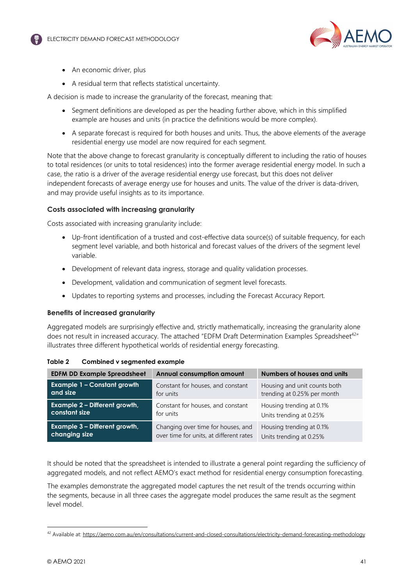

- An economic driver, plus
- A residual term that reflects statistical uncertainty.

A decision is made to increase the granularity of the forecast, meaning that:

- Segment definitions are developed as per the heading further above, which in this simplified example are houses and units (in practice the definitions would be more complex).
- A separate forecast is required for both houses and units. Thus, the above elements of the average residential energy use model are now required for each segment.

Note that the above change to forecast granularity is conceptually different to including the ratio of houses to total residences (or units to total residences) into the former average residential energy model. In such a case, the ratio is a driver of the average residential energy use forecast, but this does not deliver independent forecasts of average energy use for houses and units. The value of the driver is data-driven, and may provide useful insights as to its importance.

### **Costs associated with increasing granularity**

Costs associated with increasing granularity include:

- Up-front identification of a trusted and cost-effective data source(s) of suitable frequency, for each segment level variable, and both historical and forecast values of the drivers of the segment level variable.
- Development of relevant data ingress, storage and quality validation processes.
- Development, validation and communication of segment level forecasts.
- Updates to reporting systems and processes, including the Forecast Accuracy Report.

### **Benefits of increased granularity**

Aggregated models are surprisingly effective and, strictly mathematically, increasing the granularity alone does not result in increased accuracy. The attached "EDFM Draft Determination Examples Spreadsheet<sup>[42](#page-40-0)"</sup> illustrates three different hypothetical worlds of residential energy forecasting.

| <b>EDFM DD Example Spreadsheet</b> | <b>Annual consumption amount</b>        | Numbers of houses and units  |  |
|------------------------------------|-----------------------------------------|------------------------------|--|
| <b>Example 1 - Constant growth</b> | Constant for houses, and constant       | Housing and unit counts both |  |
| and size                           | for units                               | trending at 0.25% per month  |  |
| Example 2 - Different growth,      | Constant for houses, and constant       | Housing trending at 0.1%     |  |
| constant size                      | for units                               | Units trending at 0.25%      |  |
| Example 3 - Different growth,      | Changing over time for houses, and      | Housing trending at 0.1%     |  |
| changing size                      | over time for units, at different rates | Units trending at 0.25%      |  |

| Combined v segmented example | Table 2 |  |  |  |
|------------------------------|---------|--|--|--|
|------------------------------|---------|--|--|--|

It should be noted that the spreadsheet is intended to illustrate a general point regarding the sufficiency of aggregated models, and not reflect AEMO's exact method for residential energy consumption forecasting.

The examples demonstrate the aggregated model captures the net result of the trends occurring within the segments, because in all three cases the aggregate model produces the same result as the segment level model.

<span id="page-40-0"></span><sup>42</sup> Available at: https://aemo.com.au/en/consultations/current-and-closed-consultations/electricity-demand-forecasting-methodology